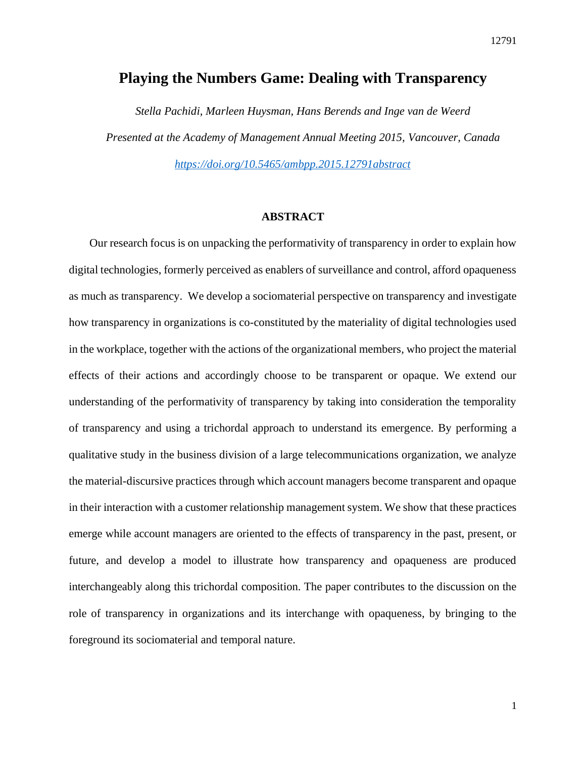## **Playing the Numbers Game: Dealing with Transparency**

*Stella Pachidi, Marleen Huysman, Hans Berends and Inge van de Weerd Presented at the Academy of Management Annual Meeting 2015, Vancouver, Canada <https://doi.org/10.5465/ambpp.2015.12791abstract>*

## **ABSTRACT**

Our research focus is on unpacking the performativity of transparency in order to explain how digital technologies, formerly perceived as enablers of surveillance and control, afford opaqueness as much as transparency. We develop a sociomaterial perspective on transparency and investigate how transparency in organizations is co-constituted by the materiality of digital technologies used in the workplace, together with the actions of the organizational members, who project the material effects of their actions and accordingly choose to be transparent or opaque. We extend our understanding of the performativity of transparency by taking into consideration the temporality of transparency and using a trichordal approach to understand its emergence. By performing a qualitative study in the business division of a large telecommunications organization, we analyze the material-discursive practices through which account managers become transparent and opaque in their interaction with a customer relationship management system. We show that these practices emerge while account managers are oriented to the effects of transparency in the past, present, or future, and develop a model to illustrate how transparency and opaqueness are produced interchangeably along this trichordal composition. The paper contributes to the discussion on the role of transparency in organizations and its interchange with opaqueness, by bringing to the foreground its sociomaterial and temporal nature.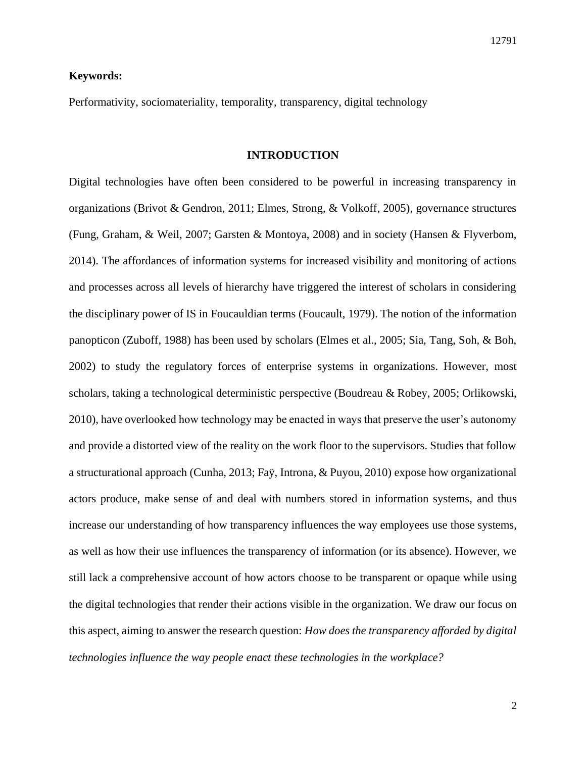## **Keywords:**

Performativity, sociomateriality, temporality, transparency, digital technology

#### **INTRODUCTION**

Digital technologies have often been considered to be powerful in increasing transparency in organizations (Brivot & Gendron, 2011; Elmes, Strong, & Volkoff, 2005), governance structures (Fung, Graham, & Weil, 2007; Garsten & Montoya, 2008) and in society (Hansen & Flyverbom, 2014). The affordances of information systems for increased visibility and monitoring of actions and processes across all levels of hierarchy have triggered the interest of scholars in considering the disciplinary power of IS in Foucauldian terms (Foucault, 1979). The notion of the information panopticon (Zuboff, 1988) has been used by scholars (Elmes et al., 2005; Sia, Tang, Soh, & Boh, 2002) to study the regulatory forces of enterprise systems in organizations. However, most scholars, taking a technological deterministic perspective (Boudreau & Robey, 2005; Orlikowski, 2010), have overlooked how technology may be enacted in ways that preserve the user's autonomy and provide a distorted view of the reality on the work floor to the supervisors. Studies that follow a structurational approach (Cunha, 2013; Faÿ, Introna, & Puyou, 2010) expose how organizational actors produce, make sense of and deal with numbers stored in information systems, and thus increase our understanding of how transparency influences the way employees use those systems, as well as how their use influences the transparency of information (or its absence). However, we still lack a comprehensive account of how actors choose to be transparent or opaque while using the digital technologies that render their actions visible in the organization. We draw our focus on this aspect, aiming to answer the research question: *How does the transparency afforded by digital technologies influence the way people enact these technologies in the workplace?*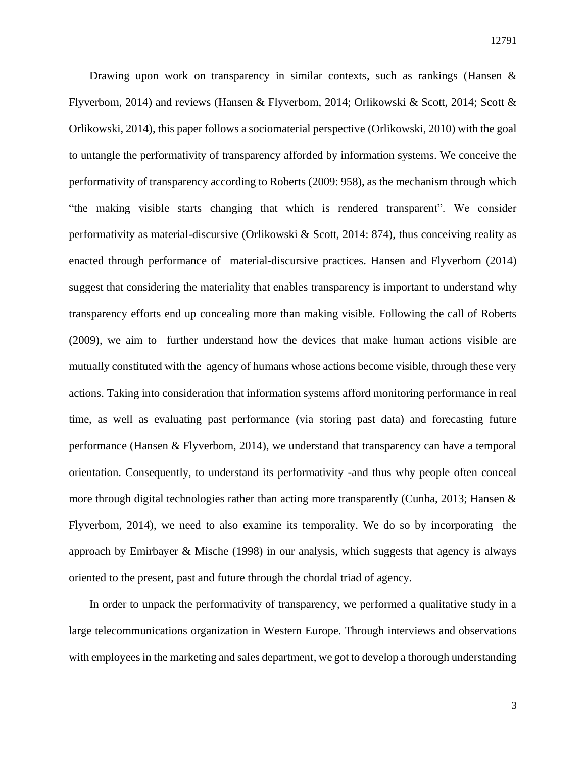Drawing upon work on transparency in similar contexts, such as rankings (Hansen  $\&$ Flyverbom, 2014) and reviews (Hansen & Flyverbom, 2014; Orlikowski & Scott, 2014; Scott & Orlikowski, 2014), this paper follows a sociomaterial perspective (Orlikowski, 2010) with the goal to untangle the performativity of transparency afforded by information systems. We conceive the performativity of transparency according to Roberts (2009: 958), as the mechanism through which "the making visible starts changing that which is rendered transparent". We consider performativity as material-discursive (Orlikowski & Scott, 2014: 874), thus conceiving reality as enacted through performance of material-discursive practices. Hansen and Flyverbom (2014) suggest that considering the materiality that enables transparency is important to understand why transparency efforts end up concealing more than making visible. Following the call of Roberts (2009), we aim to further understand how the devices that make human actions visible are mutually constituted with the agency of humans whose actions become visible, through these very actions. Taking into consideration that information systems afford monitoring performance in real time, as well as evaluating past performance (via storing past data) and forecasting future performance (Hansen & Flyverbom, 2014), we understand that transparency can have a temporal orientation. Consequently, to understand its performativity -and thus why people often conceal more through digital technologies rather than acting more transparently (Cunha, 2013; Hansen  $\&$ Flyverbom, 2014), we need to also examine its temporality. We do so by incorporating the approach by Emirbayer & Mische (1998) in our analysis, which suggests that agency is always oriented to the present, past and future through the chordal triad of agency.

In order to unpack the performativity of transparency, we performed a qualitative study in a large telecommunications organization in Western Europe. Through interviews and observations with employees in the marketing and sales department, we got to develop a thorough understanding

3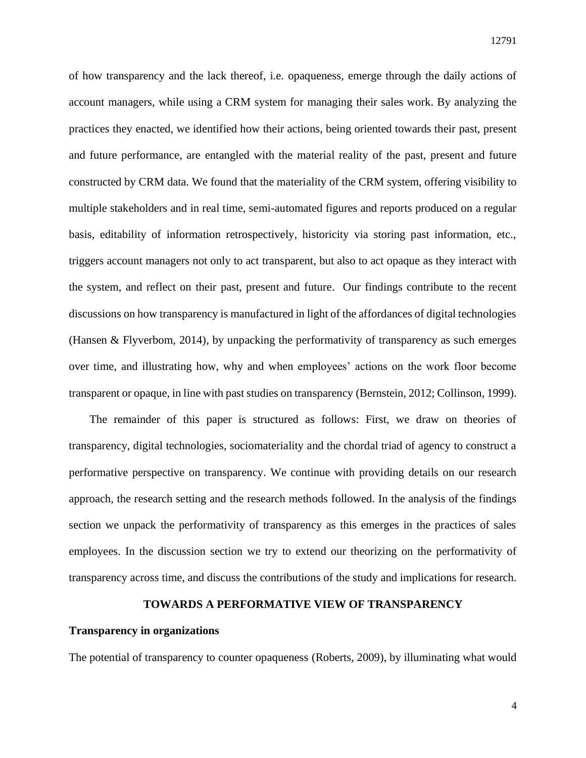of how transparency and the lack thereof, i.e. opaqueness, emerge through the daily actions of account managers, while using a CRM system for managing their sales work. By analyzing the practices they enacted, we identified how their actions, being oriented towards their past, present and future performance, are entangled with the material reality of the past, present and future constructed by CRM data. We found that the materiality of the CRM system, offering visibility to multiple stakeholders and in real time, semi-automated figures and reports produced on a regular basis, editability of information retrospectively, historicity via storing past information, etc., triggers account managers not only to act transparent, but also to act opaque as they interact with the system, and reflect on their past, present and future. Our findings contribute to the recent discussions on how transparency is manufactured in light of the affordances of digital technologies (Hansen & Flyverbom, 2014), by unpacking the performativity of transparency as such emerges over time, and illustrating how, why and when employees' actions on the work floor become transparent or opaque, in line with past studies on transparency (Bernstein, 2012; Collinson, 1999).

The remainder of this paper is structured as follows: First, we draw on theories of transparency, digital technologies, sociomateriality and the chordal triad of agency to construct a performative perspective on transparency. We continue with providing details on our research approach, the research setting and the research methods followed. In the analysis of the findings section we unpack the performativity of transparency as this emerges in the practices of sales employees. In the discussion section we try to extend our theorizing on the performativity of transparency across time, and discuss the contributions of the study and implications for research.

#### **TOWARDS A PERFORMATIVE VIEW OF TRANSPARENCY**

## **Transparency in organizations**

The potential of transparency to counter opaqueness (Roberts, 2009), by illuminating what would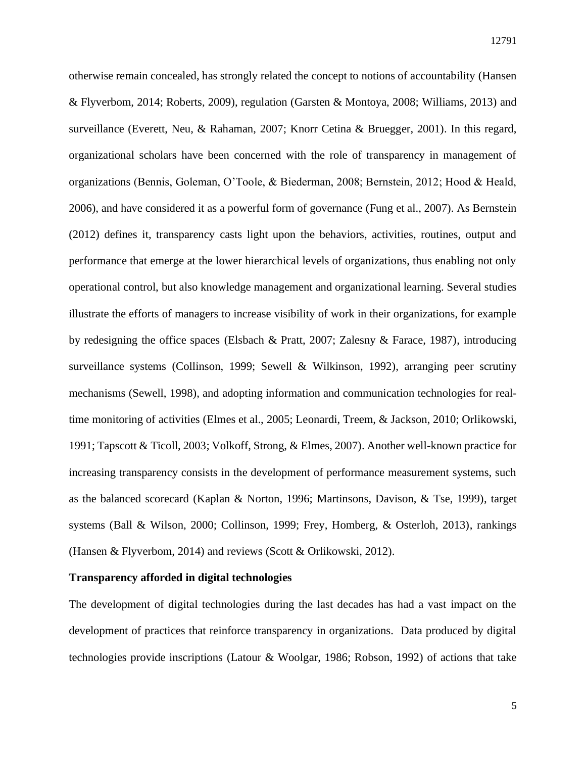otherwise remain concealed, has strongly related the concept to notions of accountability (Hansen & Flyverbom, 2014; Roberts, 2009), regulation (Garsten & Montoya, 2008; Williams, 2013) and surveillance (Everett, Neu, & Rahaman, 2007; Knorr Cetina & Bruegger, 2001). In this regard, organizational scholars have been concerned with the role of transparency in management of organizations (Bennis, Goleman, O'Toole, & Biederman, 2008; Bernstein, 2012; Hood & Heald, 2006), and have considered it as a powerful form of governance (Fung et al., 2007). As Bernstein (2012) defines it, transparency casts light upon the behaviors, activities, routines, output and performance that emerge at the lower hierarchical levels of organizations, thus enabling not only operational control, but also knowledge management and organizational learning. Several studies illustrate the efforts of managers to increase visibility of work in their organizations, for example by redesigning the office spaces (Elsbach & Pratt, 2007; Zalesny & Farace, 1987), introducing surveillance systems (Collinson, 1999; Sewell & Wilkinson, 1992), arranging peer scrutiny mechanisms (Sewell, 1998), and adopting information and communication technologies for realtime monitoring of activities (Elmes et al., 2005; Leonardi, Treem, & Jackson, 2010; Orlikowski, 1991; Tapscott & Ticoll, 2003; Volkoff, Strong, & Elmes, 2007). Another well-known practice for increasing transparency consists in the development of performance measurement systems, such as the balanced scorecard (Kaplan & Norton, 1996; Martinsons, Davison, & Tse, 1999), target systems (Ball & Wilson, 2000; Collinson, 1999; Frey, Homberg, & Osterloh, 2013), rankings (Hansen & Flyverbom, 2014) and reviews (Scott & Orlikowski, 2012).

#### **Transparency afforded in digital technologies**

The development of digital technologies during the last decades has had a vast impact on the development of practices that reinforce transparency in organizations. Data produced by digital technologies provide inscriptions (Latour & Woolgar, 1986; Robson, 1992) of actions that take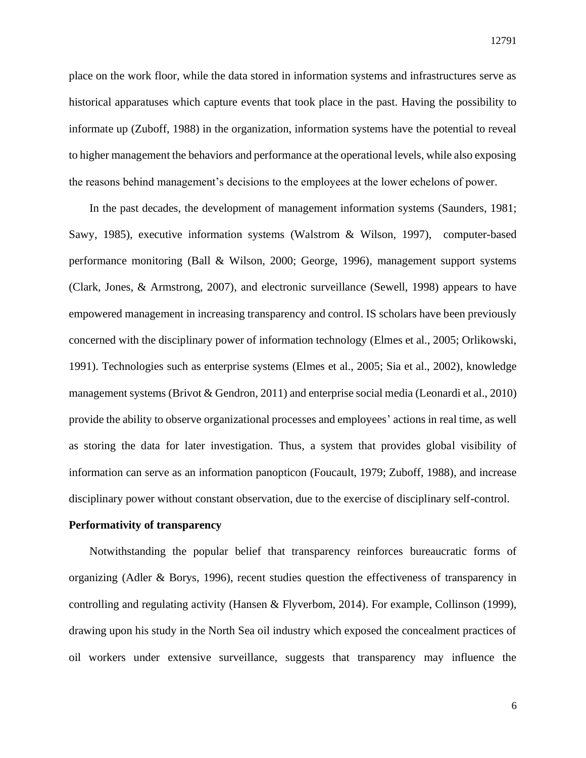place on the work floor, while the data stored in information systems and infrastructures serve as historical apparatuses which capture events that took place in the past. Having the possibility to informate up (Zuboff, 1988) in the organization, information systems have the potential to reveal to higher management the behaviors and performance at the operational levels, while also exposing the reasons behind management's decisions to the employees at the lower echelons of power.

In the past decades, the development of management information systems (Saunders, 1981; Sawy, 1985), executive information systems (Walstrom & Wilson, 1997), computer-based performance monitoring (Ball & Wilson, 2000; George, 1996), management support systems (Clark, Jones, & Armstrong, 2007), and electronic surveillance (Sewell, 1998) appears to have empowered management in increasing transparency and control. IS scholars have been previously concerned with the disciplinary power of information technology (Elmes et al., 2005; Orlikowski, 1991). Technologies such as enterprise systems (Elmes et al., 2005; Sia et al., 2002), knowledge management systems (Brivot & Gendron, 2011) and enterprise social media (Leonardi et al., 2010) provide the ability to observe organizational processes and employees' actions in real time, as well as storing the data for later investigation. Thus, a system that provides global visibility of information can serve as an information panopticon (Foucault, 1979; Zuboff, 1988), and increase disciplinary power without constant observation, due to the exercise of disciplinary self-control.

## **Performativity of transparency**

Notwithstanding the popular belief that transparency reinforces bureaucratic forms of organizing (Adler & Borys, 1996), recent studies question the effectiveness of transparency in controlling and regulating activity (Hansen & Flyverbom, 2014). For example, Collinson (1999), drawing upon his study in the North Sea oil industry which exposed the concealment practices of oil workers under extensive surveillance, suggests that transparency may influence the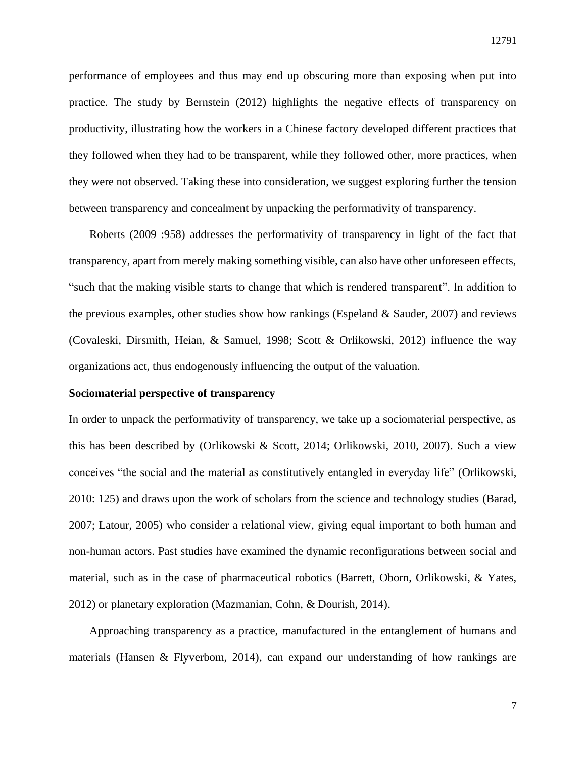performance of employees and thus may end up obscuring more than exposing when put into practice. The study by Bernstein (2012) highlights the negative effects of transparency on productivity, illustrating how the workers in a Chinese factory developed different practices that they followed when they had to be transparent, while they followed other, more practices, when they were not observed. Taking these into consideration, we suggest exploring further the tension between transparency and concealment by unpacking the performativity of transparency.

Roberts (2009 :958) addresses the performativity of transparency in light of the fact that transparency, apart from merely making something visible, can also have other unforeseen effects, "such that the making visible starts to change that which is rendered transparent". In addition to the previous examples, other studies show how rankings (Espeland  $&$  Sauder, 2007) and reviews (Covaleski, Dirsmith, Heian, & Samuel, 1998; Scott & Orlikowski, 2012) influence the way organizations act, thus endogenously influencing the output of the valuation.

#### **Sociomaterial perspective of transparency**

In order to unpack the performativity of transparency, we take up a sociomaterial perspective, as this has been described by (Orlikowski & Scott, 2014; Orlikowski, 2010, 2007). Such a view conceives "the social and the material as constitutively entangled in everyday life" (Orlikowski, 2010: 125) and draws upon the work of scholars from the science and technology studies (Barad, 2007; Latour, 2005) who consider a relational view, giving equal important to both human and non-human actors. Past studies have examined the dynamic reconfigurations between social and material, such as in the case of pharmaceutical robotics (Barrett, Oborn, Orlikowski, & Yates, 2012) or planetary exploration (Mazmanian, Cohn, & Dourish, 2014).

Approaching transparency as a practice, manufactured in the entanglement of humans and materials (Hansen & Flyverbom, 2014), can expand our understanding of how rankings are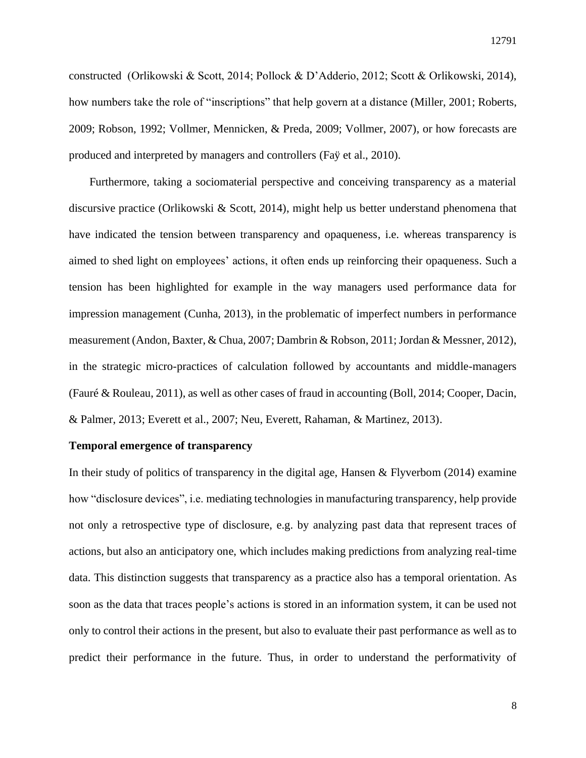constructed (Orlikowski & Scott, 2014; Pollock & D'Adderio, 2012; Scott & Orlikowski, 2014), how numbers take the role of "inscriptions" that help govern at a distance (Miller, 2001; Roberts, 2009; Robson, 1992; Vollmer, Mennicken, & Preda, 2009; Vollmer, 2007), or how forecasts are produced and interpreted by managers and controllers (Faÿ et al., 2010).

Furthermore, taking a sociomaterial perspective and conceiving transparency as a material discursive practice (Orlikowski & Scott, 2014), might help us better understand phenomena that have indicated the tension between transparency and opaqueness, i.e. whereas transparency is aimed to shed light on employees' actions, it often ends up reinforcing their opaqueness. Such a tension has been highlighted for example in the way managers used performance data for impression management (Cunha, 2013), in the problematic of imperfect numbers in performance measurement (Andon, Baxter, & Chua, 2007; Dambrin & Robson, 2011; Jordan & Messner, 2012), in the strategic micro-practices of calculation followed by accountants and middle-managers (Fauré & Rouleau, 2011), as well as other cases of fraud in accounting (Boll, 2014; Cooper, Dacin, & Palmer, 2013; Everett et al., 2007; Neu, Everett, Rahaman, & Martinez, 2013).

#### **Temporal emergence of transparency**

In their study of politics of transparency in the digital age, Hansen & Flyverbom (2014) examine how "disclosure devices", i.e. mediating technologies in manufacturing transparency, help provide not only a retrospective type of disclosure, e.g. by analyzing past data that represent traces of actions, but also an anticipatory one, which includes making predictions from analyzing real-time data. This distinction suggests that transparency as a practice also has a temporal orientation. As soon as the data that traces people's actions is stored in an information system, it can be used not only to control their actions in the present, but also to evaluate their past performance as well as to predict their performance in the future. Thus, in order to understand the performativity of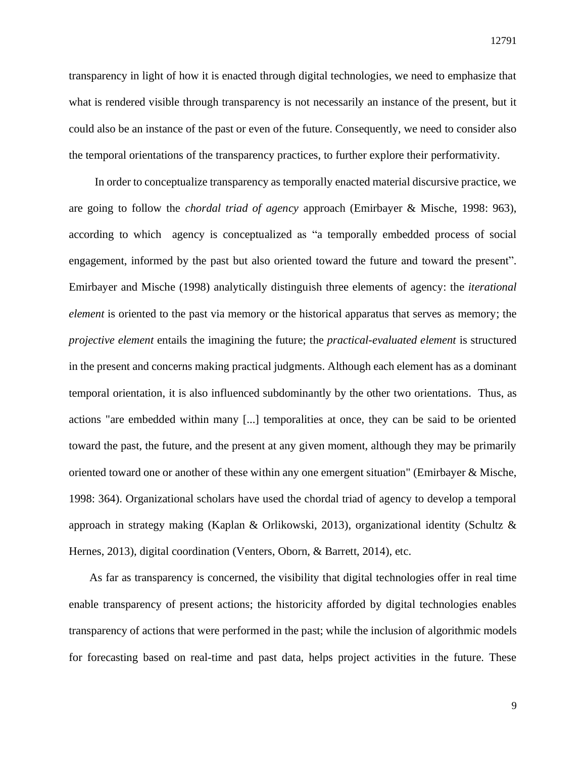transparency in light of how it is enacted through digital technologies, we need to emphasize that what is rendered visible through transparency is not necessarily an instance of the present, but it could also be an instance of the past or even of the future. Consequently, we need to consider also the temporal orientations of the transparency practices, to further explore their performativity.

In order to conceptualize transparency as temporally enacted material discursive practice, we are going to follow the *chordal triad of agency* approach (Emirbayer & Mische, 1998: 963), according to which agency is conceptualized as "a temporally embedded process of social engagement, informed by the past but also oriented toward the future and toward the present". Emirbayer and Mische (1998) analytically distinguish three elements of agency: the *iterational element* is oriented to the past via memory or the historical apparatus that serves as memory; the *projective element* entails the imagining the future; the *practical-evaluated element* is structured in the present and concerns making practical judgments. Although each element has as a dominant temporal orientation, it is also influenced subdominantly by the other two orientations. Thus, as actions "are embedded within many [...] temporalities at once, they can be said to be oriented toward the past, the future, and the present at any given moment, although they may be primarily oriented toward one or another of these within any one emergent situation" (Emirbayer & Mische, 1998: 364). Organizational scholars have used the chordal triad of agency to develop a temporal approach in strategy making (Kaplan & Orlikowski, 2013), organizational identity (Schultz & Hernes, 2013), digital coordination (Venters, Oborn, & Barrett, 2014), etc.

As far as transparency is concerned, the visibility that digital technologies offer in real time enable transparency of present actions; the historicity afforded by digital technologies enables transparency of actions that were performed in the past; while the inclusion of algorithmic models for forecasting based on real-time and past data, helps project activities in the future. These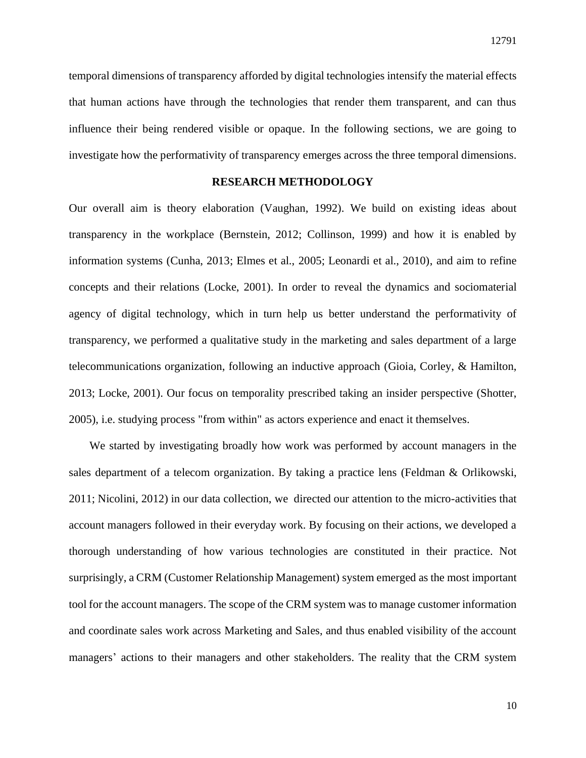temporal dimensions of transparency afforded by digital technologies intensify the material effects that human actions have through the technologies that render them transparent, and can thus influence their being rendered visible or opaque. In the following sections, we are going to investigate how the performativity of transparency emerges across the three temporal dimensions.

## **RESEARCH METHODOLOGY**

Our overall aim is theory elaboration (Vaughan, 1992). We build on existing ideas about transparency in the workplace (Bernstein, 2012; Collinson, 1999) and how it is enabled by information systems (Cunha, 2013; Elmes et al., 2005; Leonardi et al., 2010), and aim to refine concepts and their relations (Locke, 2001). In order to reveal the dynamics and sociomaterial agency of digital technology, which in turn help us better understand the performativity of transparency, we performed a qualitative study in the marketing and sales department of a large telecommunications organization, following an inductive approach (Gioia, Corley, & Hamilton, 2013; Locke, 2001). Our focus on temporality prescribed taking an insider perspective (Shotter, 2005), i.e. studying process "from within" as actors experience and enact it themselves.

We started by investigating broadly how work was performed by account managers in the sales department of a telecom organization. By taking a practice lens (Feldman & Orlikowski, 2011; Nicolini, 2012) in our data collection, we directed our attention to the micro-activities that account managers followed in their everyday work. By focusing on their actions, we developed a thorough understanding of how various technologies are constituted in their practice. Not surprisingly, a CRM (Customer Relationship Management) system emerged as the most important tool for the account managers. The scope of the CRM system was to manage customer information and coordinate sales work across Marketing and Sales, and thus enabled visibility of the account managers' actions to their managers and other stakeholders. The reality that the CRM system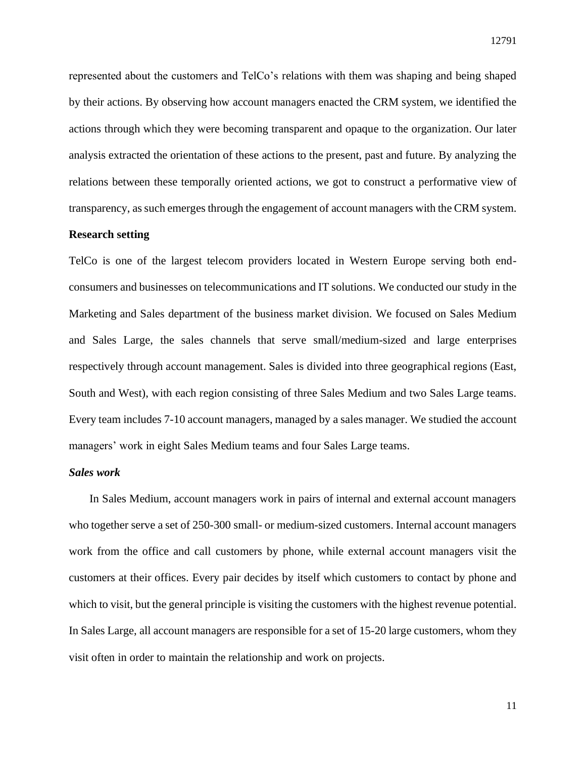represented about the customers and TelCo's relations with them was shaping and being shaped by their actions. By observing how account managers enacted the CRM system, we identified the actions through which they were becoming transparent and opaque to the organization. Our later analysis extracted the orientation of these actions to the present, past and future. By analyzing the relations between these temporally oriented actions, we got to construct a performative view of transparency, as such emerges through the engagement of account managers with the CRM system.

## **Research setting**

TelCo is one of the largest telecom providers located in Western Europe serving both endconsumers and businesses on telecommunications and IT solutions. We conducted our study in the Marketing and Sales department of the business market division. We focused on Sales Medium and Sales Large, the sales channels that serve small/medium-sized and large enterprises respectively through account management. Sales is divided into three geographical regions (East, South and West), with each region consisting of three Sales Medium and two Sales Large teams. Every team includes 7-10 account managers, managed by a sales manager. We studied the account managers' work in eight Sales Medium teams and four Sales Large teams.

#### *Sales work*

In Sales Medium, account managers work in pairs of internal and external account managers who together serve a set of 250-300 small- or medium-sized customers. Internal account managers work from the office and call customers by phone, while external account managers visit the customers at their offices. Every pair decides by itself which customers to contact by phone and which to visit, but the general principle is visiting the customers with the highest revenue potential. In Sales Large, all account managers are responsible for a set of 15-20 large customers, whom they visit often in order to maintain the relationship and work on projects.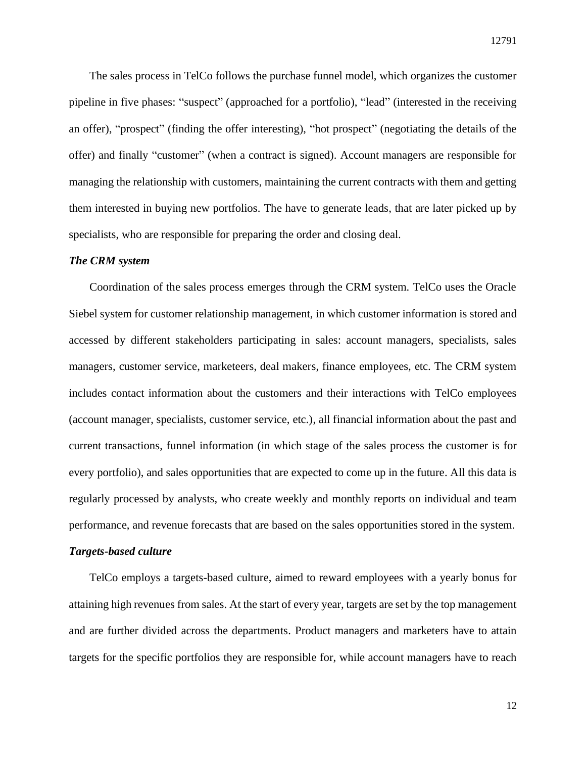The sales process in TelCo follows the purchase funnel model, which organizes the customer pipeline in five phases: "suspect" (approached for a portfolio), "lead" (interested in the receiving an offer), "prospect" (finding the offer interesting), "hot prospect" (negotiating the details of the offer) and finally "customer" (when a contract is signed). Account managers are responsible for managing the relationship with customers, maintaining the current contracts with them and getting them interested in buying new portfolios. The have to generate leads, that are later picked up by specialists, who are responsible for preparing the order and closing deal.

#### *The CRM system*

Coordination of the sales process emerges through the CRM system. TelCo uses the Oracle Siebel system for customer relationship management, in which customer information is stored and accessed by different stakeholders participating in sales: account managers, specialists, sales managers, customer service, marketeers, deal makers, finance employees, etc. The CRM system includes contact information about the customers and their interactions with TelCo employees (account manager, specialists, customer service, etc.), all financial information about the past and current transactions, funnel information (in which stage of the sales process the customer is for every portfolio), and sales opportunities that are expected to come up in the future. All this data is regularly processed by analysts, who create weekly and monthly reports on individual and team performance, and revenue forecasts that are based on the sales opportunities stored in the system.

#### *Targets-based culture*

TelCo employs a targets-based culture, aimed to reward employees with a yearly bonus for attaining high revenues from sales. At the start of every year, targets are set by the top management and are further divided across the departments. Product managers and marketers have to attain targets for the specific portfolios they are responsible for, while account managers have to reach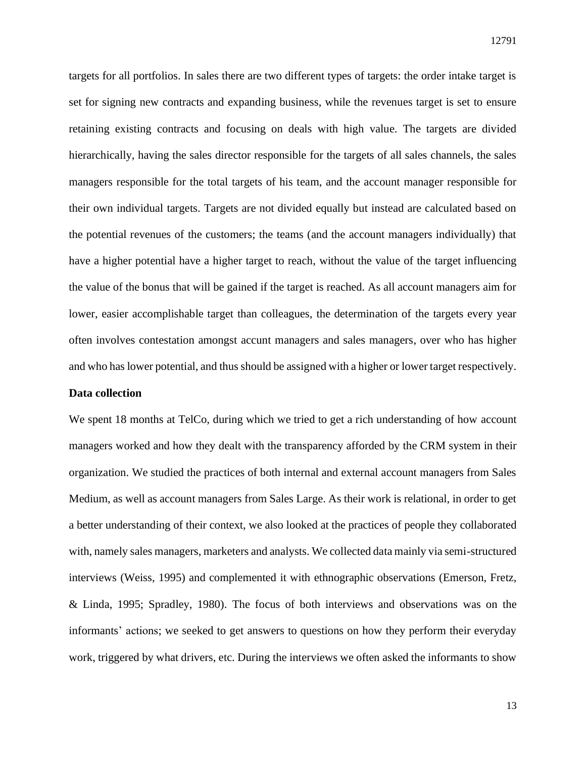targets for all portfolios. In sales there are two different types of targets: the order intake target is set for signing new contracts and expanding business, while the revenues target is set to ensure retaining existing contracts and focusing on deals with high value. The targets are divided hierarchically, having the sales director responsible for the targets of all sales channels, the sales managers responsible for the total targets of his team, and the account manager responsible for their own individual targets. Targets are not divided equally but instead are calculated based on the potential revenues of the customers; the teams (and the account managers individually) that have a higher potential have a higher target to reach, without the value of the target influencing the value of the bonus that will be gained if the target is reached. As all account managers aim for lower, easier accomplishable target than colleagues, the determination of the targets every year often involves contestation amongst accunt managers and sales managers, over who has higher and who has lower potential, and thus should be assigned with a higher or lower target respectively.

#### **Data collection**

We spent 18 months at TelCo, during which we tried to get a rich understanding of how account managers worked and how they dealt with the transparency afforded by the CRM system in their organization. We studied the practices of both internal and external account managers from Sales Medium, as well as account managers from Sales Large. As their work is relational, in order to get a better understanding of their context, we also looked at the practices of people they collaborated with, namely sales managers, marketers and analysts. We collected data mainly via semi-structured interviews (Weiss, 1995) and complemented it with ethnographic observations (Emerson, Fretz, & Linda, 1995; Spradley, 1980). The focus of both interviews and observations was on the informants' actions; we seeked to get answers to questions on how they perform their everyday work, triggered by what drivers, etc. During the interviews we often asked the informants to show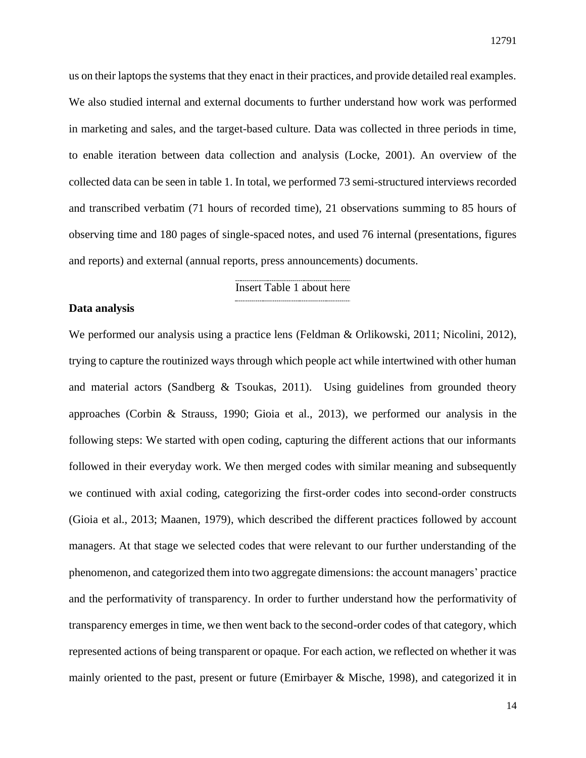us on their laptops the systems that they enact in their practices, and provide detailed real examples. We also studied internal and external documents to further understand how work was performed in marketing and sales, and the target-based culture. Data was collected in three periods in time, to enable iteration between data collection and analysis (Locke, 2001). An overview of the collected data can be seen in table 1. In total, we performed 73 semi-structured interviews recorded and transcribed verbatim (71 hours of recorded time), 21 observations summing to 85 hours of observing time and 180 pages of single-spaced notes, and used 76 internal (presentations, figures and reports) and external (annual reports, press announcements) documents.

## Insert Table 1 about here

#### **Data analysis**

We performed our analysis using a practice lens (Feldman & Orlikowski, 2011; Nicolini, 2012), trying to capture the routinized ways through which people act while intertwined with other human and material actors (Sandberg & Tsoukas, 2011). Using guidelines from grounded theory approaches (Corbin & Strauss, 1990; Gioia et al., 2013), we performed our analysis in the following steps: We started with open coding, capturing the different actions that our informants followed in their everyday work. We then merged codes with similar meaning and subsequently we continued with axial coding, categorizing the first-order codes into second-order constructs (Gioia et al., 2013; Maanen, 1979), which described the different practices followed by account managers. At that stage we selected codes that were relevant to our further understanding of the phenomenon, and categorized them into two aggregate dimensions: the account managers' practice and the performativity of transparency. In order to further understand how the performativity of transparency emerges in time, we then went back to the second-order codes of that category, which represented actions of being transparent or opaque. For each action, we reflected on whether it was mainly oriented to the past, present or future (Emirbayer & Mische, 1998), and categorized it in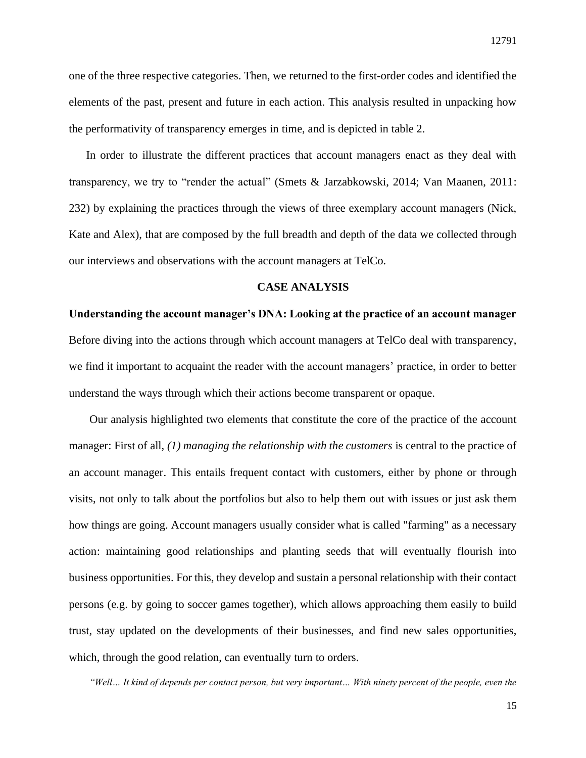one of the three respective categories. Then, we returned to the first-order codes and identified the elements of the past, present and future in each action. This analysis resulted in unpacking how the performativity of transparency emerges in time, and is depicted in table 2.

In order to illustrate the different practices that account managers enact as they deal with transparency, we try to "render the actual" (Smets & Jarzabkowski, 2014; Van Maanen, 2011: 232) by explaining the practices through the views of three exemplary account managers (Nick, Kate and Alex), that are composed by the full breadth and depth of the data we collected through our interviews and observations with the account managers at TelCo.

#### **CASE ANALYSIS**

**Understanding the account manager's DNA: Looking at the practice of an account manager** Before diving into the actions through which account managers at TelCo deal with transparency, we find it important to acquaint the reader with the account managers' practice, in order to better understand the ways through which their actions become transparent or opaque.

Our analysis highlighted two elements that constitute the core of the practice of the account manager: First of all, *(1) managing the relationship with the customers* is central to the practice of an account manager. This entails frequent contact with customers, either by phone or through visits, not only to talk about the portfolios but also to help them out with issues or just ask them how things are going. Account managers usually consider what is called "farming" as a necessary action: maintaining good relationships and planting seeds that will eventually flourish into business opportunities. For this, they develop and sustain a personal relationship with their contact persons (e.g. by going to soccer games together), which allows approaching them easily to build trust, stay updated on the developments of their businesses, and find new sales opportunities, which, through the good relation, can eventually turn to orders.

*"Well… It kind of depends per contact person, but very important… With ninety percent of the people, even the*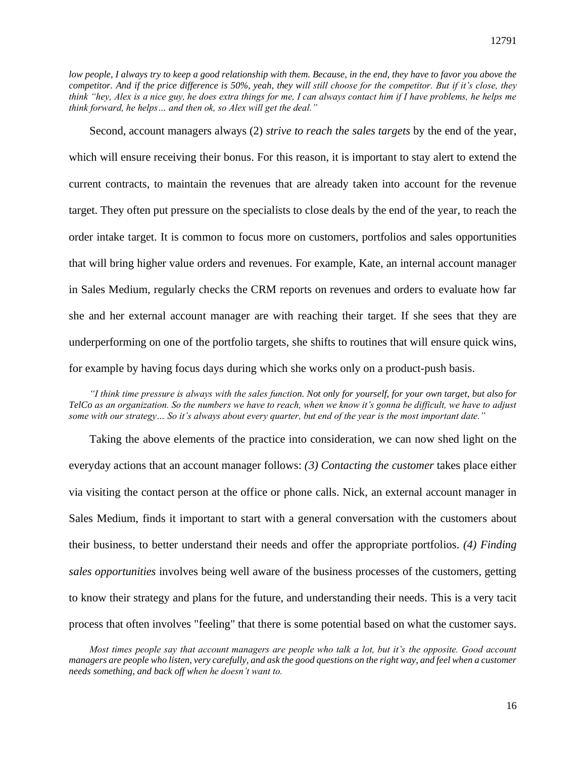*low people, I always try to keep a good relationship with them. Because, in the end, they have to favor you above the competitor. And if the price difference is 50%, yeah, they will still choose for the competitor. But if it's close, they think "hey, Alex is a nice guy, he does extra things for me, I can always contact him if I have problems, he helps me think forward, he helps… and then ok, so Alex will get the deal."*

Second, account managers always (2) *strive to reach the sales targets* by the end of the year, which will ensure receiving their bonus. For this reason, it is important to stay alert to extend the current contracts, to maintain the revenues that are already taken into account for the revenue target. They often put pressure on the specialists to close deals by the end of the year, to reach the order intake target. It is common to focus more on customers, portfolios and sales opportunities that will bring higher value orders and revenues. For example, Kate, an internal account manager in Sales Medium, regularly checks the CRM reports on revenues and orders to evaluate how far she and her external account manager are with reaching their target. If she sees that they are underperforming on one of the portfolio targets, she shifts to routines that will ensure quick wins, for example by having focus days during which she works only on a product-push basis.

*"I think time pressure is always with the sales function. Not only for yourself, for your own target, but also for TelCo as an organization. So the numbers we have to reach, when we know it's gonna be difficult, we have to adjust some with our strategy… So it's always about every quarter, but end of the year is the most important date."*

Taking the above elements of the practice into consideration, we can now shed light on the everyday actions that an account manager follows: *(3) Contacting the customer* takes place either via visiting the contact person at the office or phone calls. Nick, an external account manager in Sales Medium, finds it important to start with a general conversation with the customers about their business, to better understand their needs and offer the appropriate portfolios. *(4) Finding sales opportunities* involves being well aware of the business processes of the customers, getting to know their strategy and plans for the future, and understanding their needs. This is a very tacit process that often involves "feeling" that there is some potential based on what the customer says.

*Most times people say that account managers are people who talk a lot, but it's the opposite. Good account managers are people who listen, very carefully, and ask the good questions on the right way, and feel when a customer needs something, and back off when he doesn't want to.*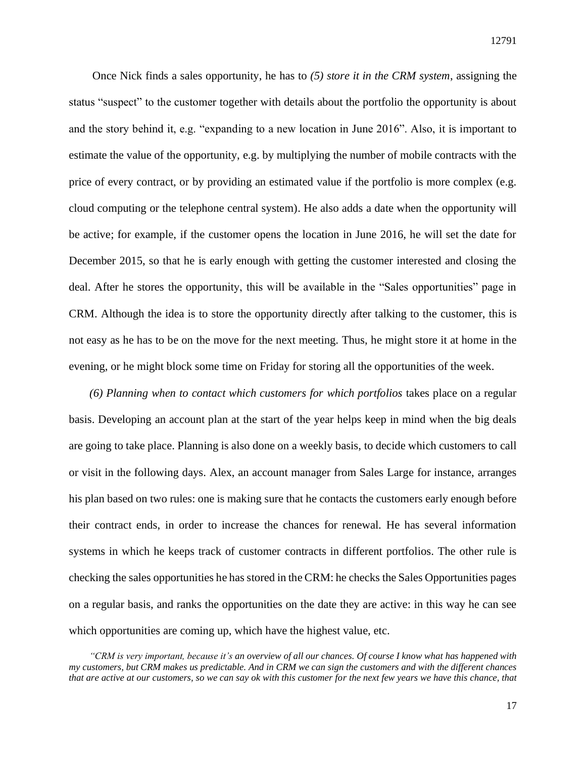Once Nick finds a sales opportunity, he has to *(5) store it in the CRM system*, assigning the status "suspect" to the customer together with details about the portfolio the opportunity is about and the story behind it, e.g. "expanding to a new location in June 2016". Also, it is important to estimate the value of the opportunity, e.g. by multiplying the number of mobile contracts with the price of every contract, or by providing an estimated value if the portfolio is more complex (e.g. cloud computing or the telephone central system). He also adds a date when the opportunity will be active; for example, if the customer opens the location in June 2016, he will set the date for December 2015, so that he is early enough with getting the customer interested and closing the deal. After he stores the opportunity, this will be available in the "Sales opportunities" page in CRM. Although the idea is to store the opportunity directly after talking to the customer, this is not easy as he has to be on the move for the next meeting. Thus, he might store it at home in the evening, or he might block some time on Friday for storing all the opportunities of the week.

*(6) Planning when to contact which customers for which portfolios* takes place on a regular basis. Developing an account plan at the start of the year helps keep in mind when the big deals are going to take place. Planning is also done on a weekly basis, to decide which customers to call or visit in the following days. Alex, an account manager from Sales Large for instance, arranges his plan based on two rules: one is making sure that he contacts the customers early enough before their contract ends, in order to increase the chances for renewal. He has several information systems in which he keeps track of customer contracts in different portfolios. The other rule is checking the sales opportunities he has stored in the CRM: he checks the Sales Opportunities pages on a regular basis, and ranks the opportunities on the date they are active: in this way he can see which opportunities are coming up, which have the highest value, etc.

*<sup>&</sup>quot;CRM is very important, because it's an overview of all our chances. Of course I know what has happened with my customers, but CRM makes us predictable. And in CRM we can sign the customers and with the different chances that are active at our customers, so we can say ok with this customer for the next few years we have this chance, that*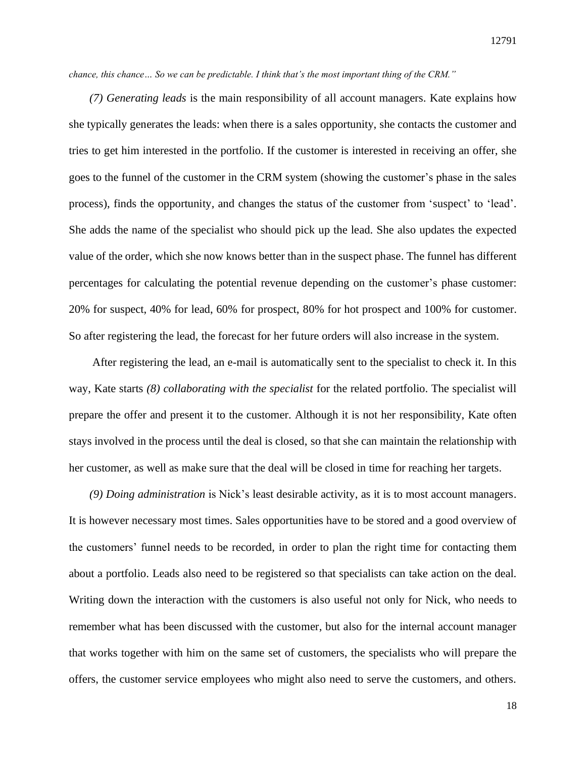*chance, this chance… So we can be predictable. I think that's the most important thing of the CRM."*

*(7) Generating leads* is the main responsibility of all account managers. Kate explains how she typically generates the leads: when there is a sales opportunity, she contacts the customer and tries to get him interested in the portfolio. If the customer is interested in receiving an offer, she goes to the funnel of the customer in the CRM system (showing the customer's phase in the sales process), finds the opportunity, and changes the status of the customer from 'suspect' to 'lead'. She adds the name of the specialist who should pick up the lead. She also updates the expected value of the order, which she now knows better than in the suspect phase. The funnel has different percentages for calculating the potential revenue depending on the customer's phase customer: 20% for suspect, 40% for lead, 60% for prospect, 80% for hot prospect and 100% for customer. So after registering the lead, the forecast for her future orders will also increase in the system.

After registering the lead, an e-mail is automatically sent to the specialist to check it. In this way, Kate starts *(8) collaborating with the specialist* for the related portfolio. The specialist will prepare the offer and present it to the customer. Although it is not her responsibility, Kate often stays involved in the process until the deal is closed, so that she can maintain the relationship with her customer, as well as make sure that the deal will be closed in time for reaching her targets.

*(9) Doing administration* is Nick's least desirable activity, as it is to most account managers. It is however necessary most times. Sales opportunities have to be stored and a good overview of the customers' funnel needs to be recorded, in order to plan the right time for contacting them about a portfolio. Leads also need to be registered so that specialists can take action on the deal. Writing down the interaction with the customers is also useful not only for Nick, who needs to remember what has been discussed with the customer, but also for the internal account manager that works together with him on the same set of customers, the specialists who will prepare the offers, the customer service employees who might also need to serve the customers, and others.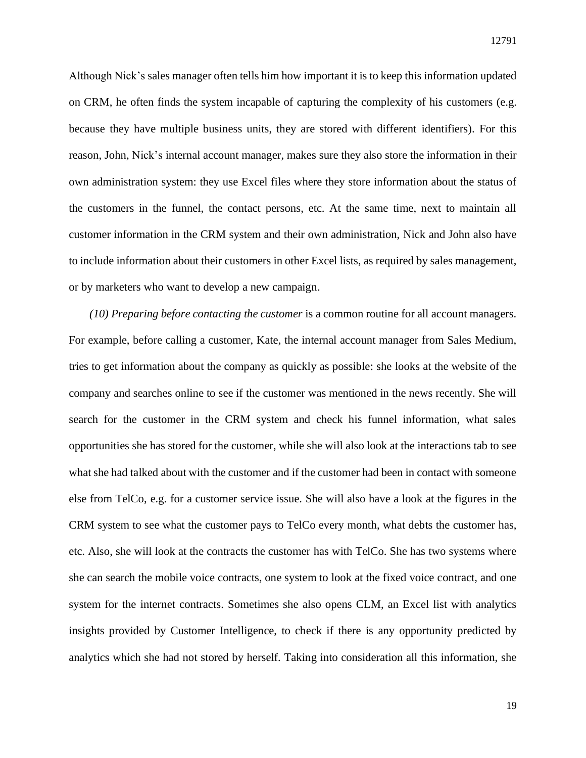Although Nick's sales manager often tells him how important it is to keep this information updated on CRM, he often finds the system incapable of capturing the complexity of his customers (e.g. because they have multiple business units, they are stored with different identifiers). For this reason, John, Nick's internal account manager, makes sure they also store the information in their own administration system: they use Excel files where they store information about the status of the customers in the funnel, the contact persons, etc. At the same time, next to maintain all customer information in the CRM system and their own administration, Nick and John also have to include information about their customers in other Excel lists, as required by sales management, or by marketers who want to develop a new campaign.

*(10) Preparing before contacting the customer* is a common routine for all account managers. For example, before calling a customer, Kate, the internal account manager from Sales Medium, tries to get information about the company as quickly as possible: she looks at the website of the company and searches online to see if the customer was mentioned in the news recently. She will search for the customer in the CRM system and check his funnel information, what sales opportunities she has stored for the customer, while she will also look at the interactions tab to see what she had talked about with the customer and if the customer had been in contact with someone else from TelCo, e.g. for a customer service issue. She will also have a look at the figures in the CRM system to see what the customer pays to TelCo every month, what debts the customer has, etc. Also, she will look at the contracts the customer has with TelCo. She has two systems where she can search the mobile voice contracts, one system to look at the fixed voice contract, and one system for the internet contracts. Sometimes she also opens CLM, an Excel list with analytics insights provided by Customer Intelligence, to check if there is any opportunity predicted by analytics which she had not stored by herself. Taking into consideration all this information, she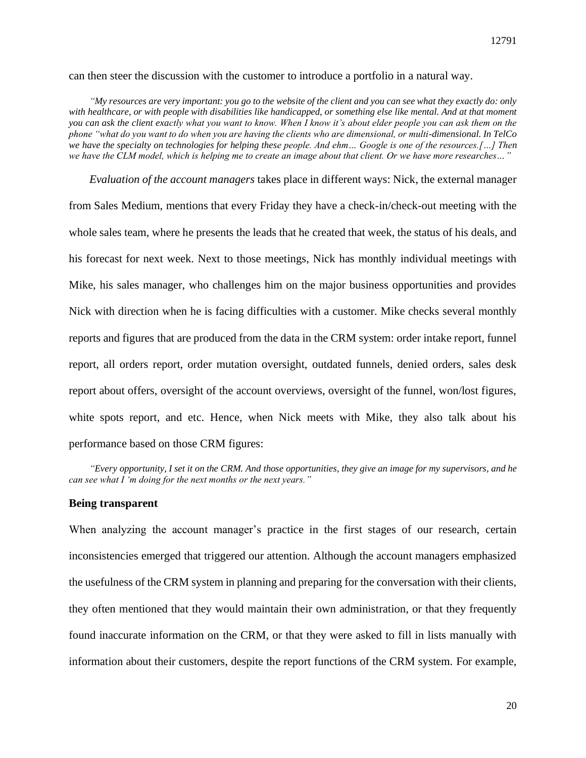can then steer the discussion with the customer to introduce a portfolio in a natural way.

*"My resources are very important: you go to the website of the client and you can see what they exactly do: only*  with healthcare, or with people with disabilities like handicapped, or something else like mental. And at that moment *you can ask the client exactly what you want to know. When I know it's about elder people you can ask them on the phone "what do you want to do when you are having the clients who are dimensional, or multi-dimensional. In TelCo we have the specialty on technologies for helping these people. And ehm… Google is one of the resources.[…] Then we have the CLM model, which is helping me to create an image about that client. Or we have more researches…"*

*Evaluation of the account managers* takes place in different ways: Nick, the external manager from Sales Medium, mentions that every Friday they have a check-in/check-out meeting with the whole sales team, where he presents the leads that he created that week, the status of his deals, and his forecast for next week. Next to those meetings, Nick has monthly individual meetings with Mike, his sales manager, who challenges him on the major business opportunities and provides Nick with direction when he is facing difficulties with a customer. Mike checks several monthly reports and figures that are produced from the data in the CRM system: order intake report, funnel report, all orders report, order mutation oversight, outdated funnels, denied orders, sales desk report about offers, oversight of the account overviews, oversight of the funnel, won/lost figures, white spots report, and etc. Hence, when Nick meets with Mike, they also talk about his performance based on those CRM figures:

*"Every opportunity, I set it on the CRM. And those opportunities, they give an image for my supervisors, and he can see what I 'm doing for the next months or the next years."*

#### **Being transparent**

When analyzing the account manager's practice in the first stages of our research, certain inconsistencies emerged that triggered our attention. Although the account managers emphasized the usefulness of the CRM system in planning and preparing for the conversation with their clients, they often mentioned that they would maintain their own administration, or that they frequently found inaccurate information on the CRM, or that they were asked to fill in lists manually with information about their customers, despite the report functions of the CRM system. For example,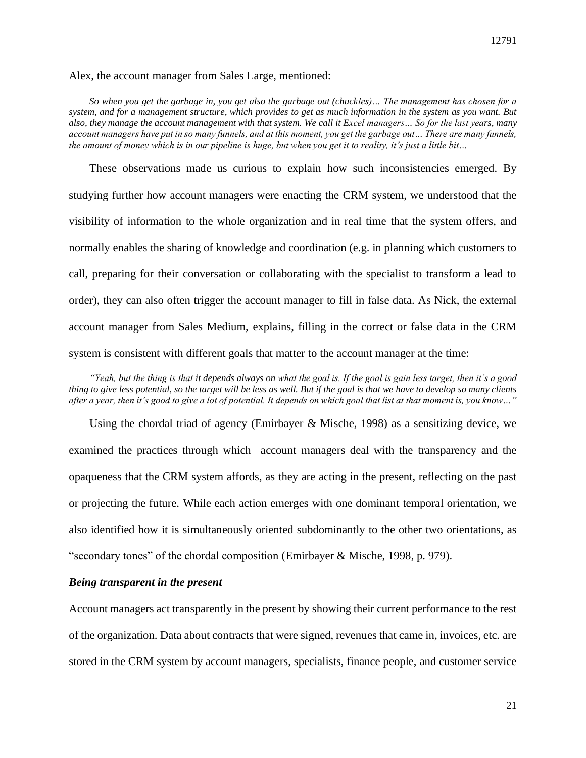#### Alex, the account manager from Sales Large, mentioned:

*So when you get the garbage in, you get also the garbage out (chuckles)… The management has chosen for a system, and for a management structure, which provides to get as much information in the system as you want. But also, they manage the account management with that system. We call it Excel managers… So for the last years, many account managers have put in so many funnels, and at this moment, you get the garbage out… There are many funnels, the amount of money which is in our pipeline is huge, but when you get it to reality, it's just a little bit…*

These observations made us curious to explain how such inconsistencies emerged. By studying further how account managers were enacting the CRM system, we understood that the visibility of information to the whole organization and in real time that the system offers, and normally enables the sharing of knowledge and coordination (e.g. in planning which customers to call, preparing for their conversation or collaborating with the specialist to transform a lead to order), they can also often trigger the account manager to fill in false data. As Nick, the external account manager from Sales Medium, explains, filling in the correct or false data in the CRM system is consistent with different goals that matter to the account manager at the time:

*"Yeah, but the thing is that it depends always on what the goal is. If the goal is gain less target, then it's a good thing to give less potential, so the target will be less as well. But if the goal is that we have to develop so many clients after a year, then it's good to give a lot of potential. It depends on which goal that list at that moment is, you know…"*

Using the chordal triad of agency (Emirbayer & Mische, 1998) as a sensitizing device, we examined the practices through which account managers deal with the transparency and the opaqueness that the CRM system affords, as they are acting in the present, reflecting on the past or projecting the future. While each action emerges with one dominant temporal orientation, we also identified how it is simultaneously oriented subdominantly to the other two orientations, as "secondary tones" of the chordal composition (Emirbayer & Mische, 1998, p. 979).

#### *Being transparent in the present*

Account managers act transparently in the present by showing their current performance to the rest of the organization. Data about contracts that were signed, revenues that came in, invoices, etc. are stored in the CRM system by account managers, specialists, finance people, and customer service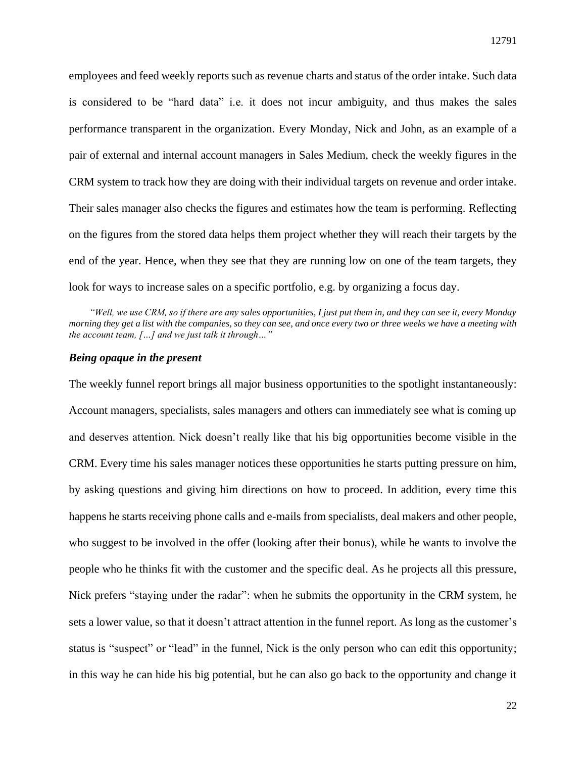employees and feed weekly reports such as revenue charts and status of the order intake. Such data is considered to be "hard data" i.e. it does not incur ambiguity, and thus makes the sales performance transparent in the organization. Every Monday, Nick and John, as an example of a pair of external and internal account managers in Sales Medium, check the weekly figures in the CRM system to track how they are doing with their individual targets on revenue and order intake. Their sales manager also checks the figures and estimates how the team is performing. Reflecting on the figures from the stored data helps them project whether they will reach their targets by the end of the year. Hence, when they see that they are running low on one of the team targets, they look for ways to increase sales on a specific portfolio, e.g. by organizing a focus day.

*"Well, we use CRM, so if there are any sales opportunities, I just put them in, and they can see it, every Monday morning they get a list with the companies, so they can see, and once every two or three weeks we have a meeting with the account team, […] and we just talk it through…"*

#### *Being opaque in the present*

The weekly funnel report brings all major business opportunities to the spotlight instantaneously: Account managers, specialists, sales managers and others can immediately see what is coming up and deserves attention. Nick doesn't really like that his big opportunities become visible in the CRM. Every time his sales manager notices these opportunities he starts putting pressure on him, by asking questions and giving him directions on how to proceed. In addition, every time this happens he starts receiving phone calls and e-mails from specialists, deal makers and other people, who suggest to be involved in the offer (looking after their bonus), while he wants to involve the people who he thinks fit with the customer and the specific deal. As he projects all this pressure, Nick prefers "staying under the radar": when he submits the opportunity in the CRM system, he sets a lower value, so that it doesn't attract attention in the funnel report. As long as the customer's status is "suspect" or "lead" in the funnel, Nick is the only person who can edit this opportunity; in this way he can hide his big potential, but he can also go back to the opportunity and change it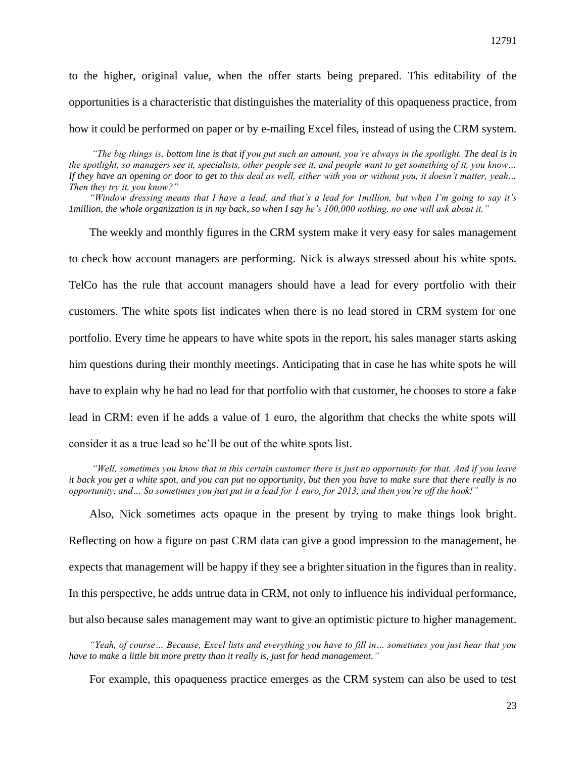to the higher, original value, when the offer starts being prepared. This editability of the opportunities is a characteristic that distinguishes the materiality of this opaqueness practice, from how it could be performed on paper or by e-mailing Excel files, instead of using the CRM system.

*"The big things is, bottom line is that if you put such an amount, you're always in the spotlight. The deal is in the spotlight, so managers see it, specialists, other people see it, and people want to get something of it, you know… If they have an opening or door to get to this deal as well, either with you or without you, it doesn't matter, yeah… Then they try it, you know?"*

*"Window dressing means that I have a lead, and that's a lead for 1million, but when I'm going to say it's 1million, the whole organization is in my back, so when I say he's 100,000 nothing, no one will ask about it."*

The weekly and monthly figures in the CRM system make it very easy for sales management to check how account managers are performing. Nick is always stressed about his white spots. TelCo has the rule that account managers should have a lead for every portfolio with their customers. The white spots list indicates when there is no lead stored in CRM system for one portfolio. Every time he appears to have white spots in the report, his sales manager starts asking him questions during their monthly meetings. Anticipating that in case he has white spots he will have to explain why he had no lead for that portfolio with that customer, he chooses to store a fake lead in CRM: even if he adds a value of 1 euro, the algorithm that checks the white spots will consider it as a true lead so he'll be out of the white spots list.

*"Well, sometimes you know that in this certain customer there is just no opportunity for that. And if you leave it back you get a white spot, and you can put no opportunity, but then you have to make sure that there really is no opportunity, and… So sometimes you just put in a lead for 1 euro, for 2013, and then you're off the hook!"*

Also, Nick sometimes acts opaque in the present by trying to make things look bright. Reflecting on how a figure on past CRM data can give a good impression to the management, he expects that management will be happy if they see a brighter situation in the figures than in reality. In this perspective, he adds untrue data in CRM, not only to influence his individual performance, but also because sales management may want to give an optimistic picture to higher management.

*"Yeah, of course… Because, Excel lists and everything you have to fill in… sometimes you just hear that you have to make a little bit more pretty than it really is, just for head management."*

For example, this opaqueness practice emerges as the CRM system can also be used to test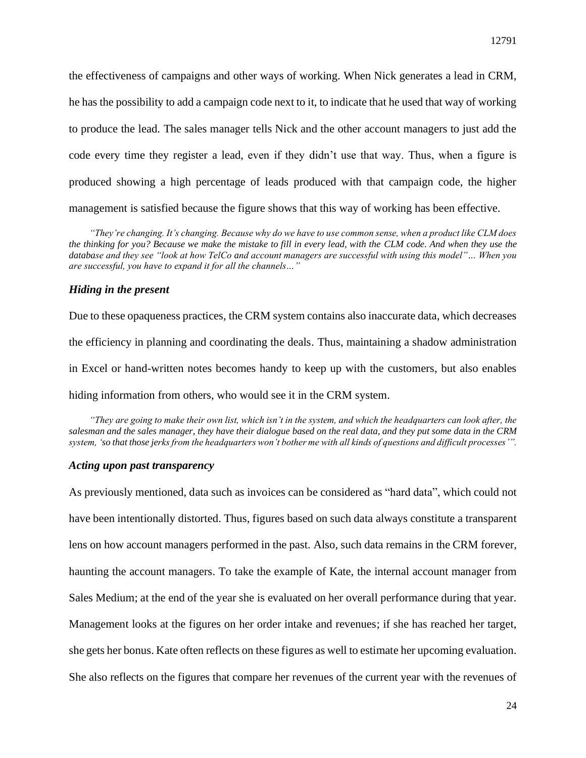the effectiveness of campaigns and other ways of working. When Nick generates a lead in CRM, he has the possibility to add a campaign code next to it, to indicate that he used that way of working to produce the lead. The sales manager tells Nick and the other account managers to just add the code every time they register a lead, even if they didn't use that way. Thus, when a figure is produced showing a high percentage of leads produced with that campaign code, the higher management is satisfied because the figure shows that this way of working has been effective.

*"They're changing. It's changing. Because why do we have to use common sense, when a product like CLM does the thinking for you? Because we make the mistake to fill in every lead, with the CLM code. And when they use the database and they see "look at how TelCo and account managers are successful with using this model"… When you are successful, you have to expand it for all the channels…"*

## *Hiding in the present*

Due to these opaqueness practices, the CRM system contains also inaccurate data, which decreases the efficiency in planning and coordinating the deals. Thus, maintaining a shadow administration in Excel or hand-written notes becomes handy to keep up with the customers, but also enables hiding information from others, who would see it in the CRM system.

*"They are going to make their own list, which isn't in the system, and which the headquarters can look after, the salesman and the sales manager, they have their dialogue based on the real data, and they put some data in the CRM system, 'so that those jerks from the headquarters won't bother me with all kinds of questions and difficult processes'".*

#### *Acting upon past transparency*

As previously mentioned, data such as invoices can be considered as "hard data", which could not have been intentionally distorted. Thus, figures based on such data always constitute a transparent lens on how account managers performed in the past. Also, such data remains in the CRM forever, haunting the account managers. To take the example of Kate, the internal account manager from Sales Medium; at the end of the year she is evaluated on her overall performance during that year. Management looks at the figures on her order intake and revenues; if she has reached her target, she gets her bonus. Kate often reflects on these figures as well to estimate her upcoming evaluation. She also reflects on the figures that compare her revenues of the current year with the revenues of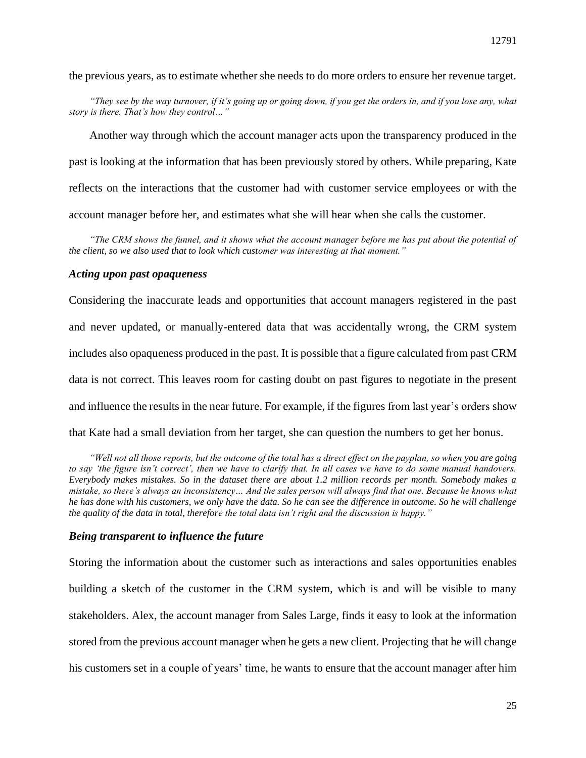the previous years, as to estimate whether she needs to do more orders to ensure her revenue target.

*"They see by the way turnover, if it's going up or going down, if you get the orders in, and if you lose any, what story is there. That's how they control…"*

Another way through which the account manager acts upon the transparency produced in the past is looking at the information that has been previously stored by others. While preparing, Kate reflects on the interactions that the customer had with customer service employees or with the account manager before her, and estimates what she will hear when she calls the customer.

*"The CRM shows the funnel, and it shows what the account manager before me has put about the potential of the client, so we also used that to look which customer was interesting at that moment."*

#### *Acting upon past opaqueness*

Considering the inaccurate leads and opportunities that account managers registered in the past and never updated, or manually-entered data that was accidentally wrong, the CRM system includes also opaqueness produced in the past. It is possible that a figure calculated from past CRM data is not correct. This leaves room for casting doubt on past figures to negotiate in the present and influence the results in the near future. For example, if the figures from last year's orders show that Kate had a small deviation from her target, she can question the numbers to get her bonus.

*"Well not all those reports, but the outcome of the total has a direct effect on the payplan, so when you are going to say 'the figure isn't correct', then we have to clarify that. In all cases we have to do some manual handovers. Everybody makes mistakes. So in the dataset there are about 1.2 million records per month. Somebody makes a mistake, so there's always an inconsistency… And the sales person will always find that one. Because he knows what he has done with his customers, we only have the data. So he can see the difference in outcome. So he will challenge the quality of the data in total, therefore the total data isn't right and the discussion is happy."*

## *Being transparent to influence the future*

Storing the information about the customer such as interactions and sales opportunities enables building a sketch of the customer in the CRM system, which is and will be visible to many stakeholders. Alex, the account manager from Sales Large, finds it easy to look at the information stored from the previous account manager when he gets a new client. Projecting that he will change his customers set in a couple of years' time, he wants to ensure that the account manager after him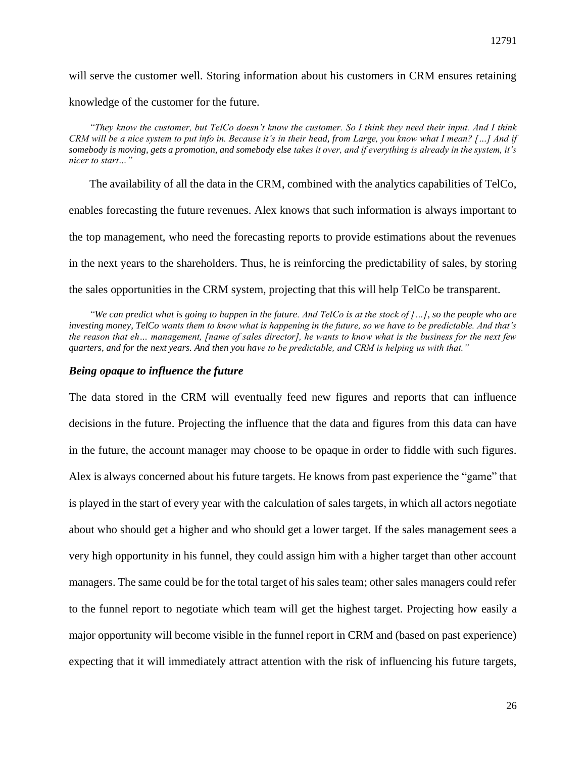will serve the customer well. Storing information about his customers in CRM ensures retaining

knowledge of the customer for the future.

*"They know the customer, but TelCo doesn't know the customer. So I think they need their input. And I think CRM will be a nice system to put info in. Because it's in their head, from Large, you know what I mean? […] And if somebody is moving, gets a promotion, and somebody else takes it over, and if everything is already in the system, it's nicer to start…"*

The availability of all the data in the CRM, combined with the analytics capabilities of TelCo, enables forecasting the future revenues. Alex knows that such information is always important to the top management, who need the forecasting reports to provide estimations about the revenues in the next years to the shareholders. Thus, he is reinforcing the predictability of sales, by storing the sales opportunities in the CRM system, projecting that this will help TelCo be transparent.

*"We can predict what is going to happen in the future. And TelCo is at the stock of […], so the people who are investing money, TelCo wants them to know what is happening in the future, so we have to be predictable. And that's the reason that eh… management, [name of sales director], he wants to know what is the business for the next few quarters, and for the next years. And then you have to be predictable, and CRM is helping us with that."*

#### *Being opaque to influence the future*

The data stored in the CRM will eventually feed new figures and reports that can influence decisions in the future. Projecting the influence that the data and figures from this data can have in the future, the account manager may choose to be opaque in order to fiddle with such figures. Alex is always concerned about his future targets. He knows from past experience the "game" that is played in the start of every year with the calculation of sales targets, in which all actors negotiate about who should get a higher and who should get a lower target. If the sales management sees a very high opportunity in his funnel, they could assign him with a higher target than other account managers. The same could be for the total target of his sales team; other sales managers could refer to the funnel report to negotiate which team will get the highest target. Projecting how easily a major opportunity will become visible in the funnel report in CRM and (based on past experience) expecting that it will immediately attract attention with the risk of influencing his future targets,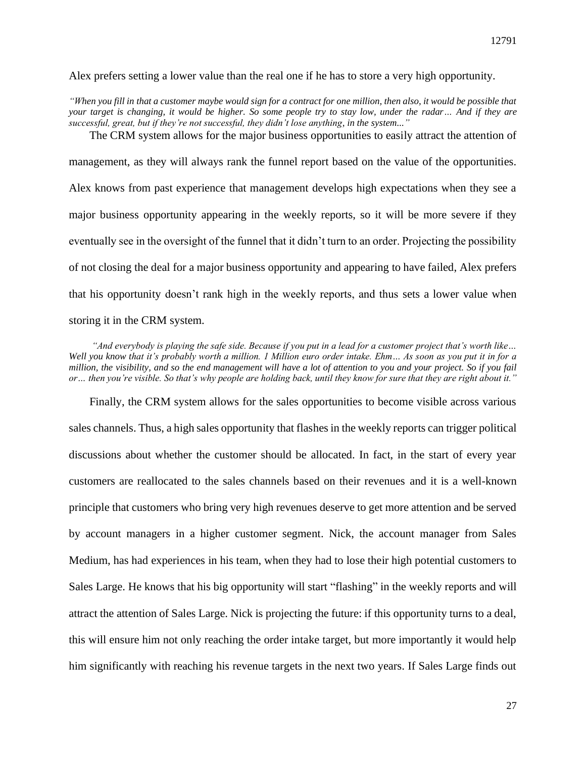Alex prefers setting a lower value than the real one if he has to store a very high opportunity.

*"When you fill in that a customer maybe would sign for a contract for one million, then also, it would be possible that your target is changing, it would be higher. So some people try to stay low, under the radar… And if they are successful, great, but if they're not successful, they didn't lose anything, in the system..."* The CRM system allows for the major business opportunities to easily attract the attention of

management, as they will always rank the funnel report based on the value of the opportunities. Alex knows from past experience that management develops high expectations when they see a major business opportunity appearing in the weekly reports, so it will be more severe if they eventually see in the oversight of the funnel that it didn't turn to an order. Projecting the possibility of not closing the deal for a major business opportunity and appearing to have failed, Alex prefers that his opportunity doesn't rank high in the weekly reports, and thus sets a lower value when storing it in the CRM system.

*"And everybody is playing the safe side. Because if you put in a lead for a customer project that's worth like… Well you know that it's probably worth a million. 1 Million euro order intake. Ehm… As soon as you put it in for a million, the visibility, and so the end management will have a lot of attention to you and your project. So if you fail or… then you're visible. So that's why people are holding back, until they know for sure that they are right about it."*

Finally, the CRM system allows for the sales opportunities to become visible across various sales channels. Thus, a high sales opportunity that flashes in the weekly reports can trigger political discussions about whether the customer should be allocated. In fact, in the start of every year customers are reallocated to the sales channels based on their revenues and it is a well-known principle that customers who bring very high revenues deserve to get more attention and be served by account managers in a higher customer segment. Nick, the account manager from Sales Medium, has had experiences in his team, when they had to lose their high potential customers to Sales Large. He knows that his big opportunity will start "flashing" in the weekly reports and will attract the attention of Sales Large. Nick is projecting the future: if this opportunity turns to a deal, this will ensure him not only reaching the order intake target, but more importantly it would help him significantly with reaching his revenue targets in the next two years. If Sales Large finds out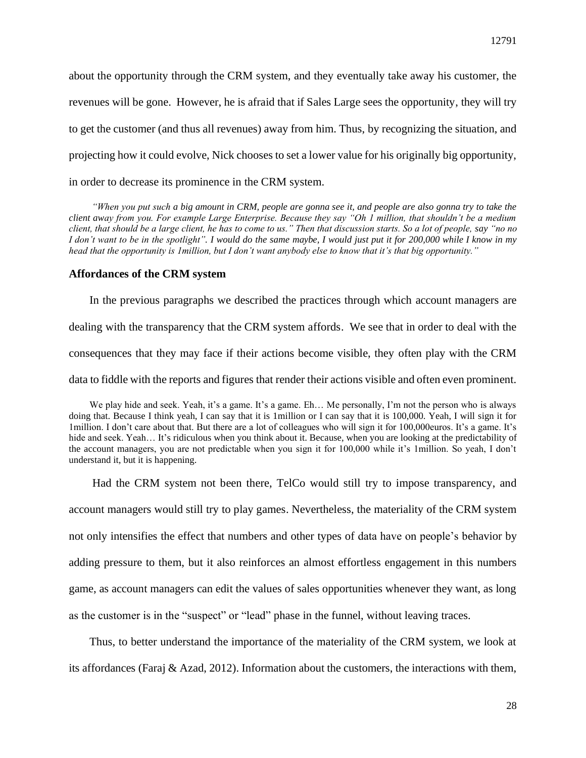about the opportunity through the CRM system, and they eventually take away his customer, the revenues will be gone. However, he is afraid that if Sales Large sees the opportunity, they will try to get the customer (and thus all revenues) away from him. Thus, by recognizing the situation, and projecting how it could evolve, Nick chooses to set a lower value for his originally big opportunity, in order to decrease its prominence in the CRM system.

*"When you put such a big amount in CRM, people are gonna see it, and people are also gonna try to take the client away from you. For example Large Enterprise. Because they say "Oh 1 million, that shouldn't be a medium client, that should be a large client, he has to come to us." Then that discussion starts. So a lot of people, say "no no I don't want to be in the spotlight". I would do the same maybe, I would just put it for 200,000 while I know in my head that the opportunity is 1million, but I don't want anybody else to know that it's that big opportunity."*

#### **Affordances of the CRM system**

In the previous paragraphs we described the practices through which account managers are dealing with the transparency that the CRM system affords. We see that in order to deal with the consequences that they may face if their actions become visible, they often play with the CRM data to fiddle with the reports and figures that render their actions visible and often even prominent.

We play hide and seek. Yeah, it's a game. It's a game. Eh... Me personally, I'm not the person who is always doing that. Because I think yeah, I can say that it is 1million or I can say that it is 100,000. Yeah, I will sign it for 1million. I don't care about that. But there are a lot of colleagues who will sign it for 100,000euros. It's a game. It's hide and seek. Yeah... It's ridiculous when you think about it. Because, when you are looking at the predictability of the account managers, you are not predictable when you sign it for 100,000 while it's 1million. So yeah, I don't understand it, but it is happening.

Had the CRM system not been there, TelCo would still try to impose transparency, and account managers would still try to play games. Nevertheless, the materiality of the CRM system not only intensifies the effect that numbers and other types of data have on people's behavior by adding pressure to them, but it also reinforces an almost effortless engagement in this numbers game, as account managers can edit the values of sales opportunities whenever they want, as long as the customer is in the "suspect" or "lead" phase in the funnel, without leaving traces.

Thus, to better understand the importance of the materiality of the CRM system, we look at its affordances (Faraj & Azad, 2012). Information about the customers, the interactions with them,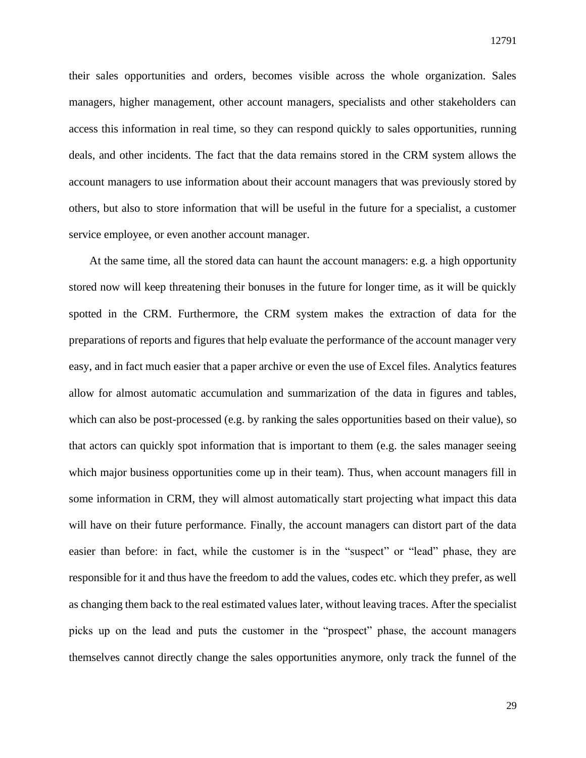their sales opportunities and orders, becomes visible across the whole organization. Sales managers, higher management, other account managers, specialists and other stakeholders can access this information in real time, so they can respond quickly to sales opportunities, running deals, and other incidents. The fact that the data remains stored in the CRM system allows the account managers to use information about their account managers that was previously stored by others, but also to store information that will be useful in the future for a specialist, a customer service employee, or even another account manager.

At the same time, all the stored data can haunt the account managers: e.g. a high opportunity stored now will keep threatening their bonuses in the future for longer time, as it will be quickly spotted in the CRM. Furthermore, the CRM system makes the extraction of data for the preparations of reports and figures that help evaluate the performance of the account manager very easy, and in fact much easier that a paper archive or even the use of Excel files. Analytics features allow for almost automatic accumulation and summarization of the data in figures and tables, which can also be post-processed (e.g. by ranking the sales opportunities based on their value), so that actors can quickly spot information that is important to them (e.g. the sales manager seeing which major business opportunities come up in their team). Thus, when account managers fill in some information in CRM, they will almost automatically start projecting what impact this data will have on their future performance. Finally, the account managers can distort part of the data easier than before: in fact, while the customer is in the "suspect" or "lead" phase, they are responsible for it and thus have the freedom to add the values, codes etc. which they prefer, as well as changing them back to the real estimated values later, without leaving traces. After the specialist picks up on the lead and puts the customer in the "prospect" phase, the account managers themselves cannot directly change the sales opportunities anymore, only track the funnel of the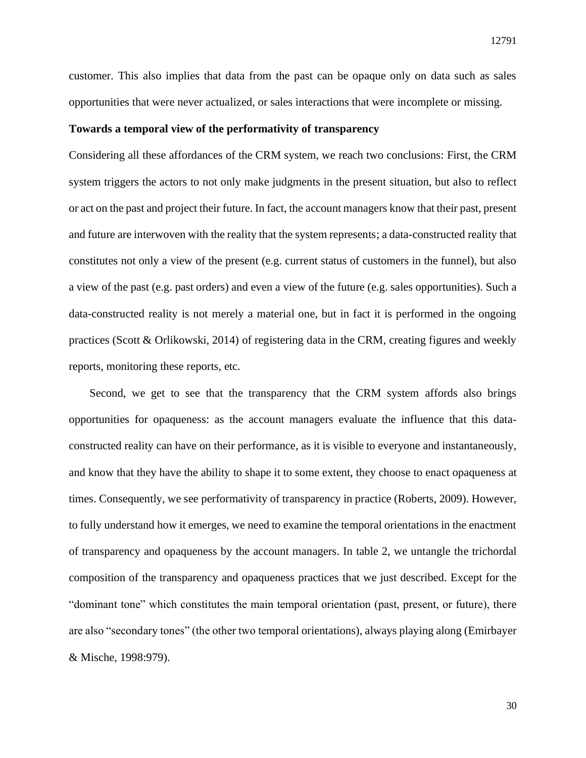customer. This also implies that data from the past can be opaque only on data such as sales opportunities that were never actualized, or sales interactions that were incomplete or missing.

#### **Towards a temporal view of the performativity of transparency**

Considering all these affordances of the CRM system, we reach two conclusions: First, the CRM system triggers the actors to not only make judgments in the present situation, but also to reflect or act on the past and project their future. In fact, the account managers know that their past, present and future are interwoven with the reality that the system represents; a data-constructed reality that constitutes not only a view of the present (e.g. current status of customers in the funnel), but also a view of the past (e.g. past orders) and even a view of the future (e.g. sales opportunities). Such a data-constructed reality is not merely a material one, but in fact it is performed in the ongoing practices (Scott & Orlikowski, 2014) of registering data in the CRM, creating figures and weekly reports, monitoring these reports, etc.

Second, we get to see that the transparency that the CRM system affords also brings opportunities for opaqueness: as the account managers evaluate the influence that this dataconstructed reality can have on their performance, as it is visible to everyone and instantaneously, and know that they have the ability to shape it to some extent, they choose to enact opaqueness at times. Consequently, we see performativity of transparency in practice (Roberts, 2009). However, to fully understand how it emerges, we need to examine the temporal orientations in the enactment of transparency and opaqueness by the account managers. In table 2, we untangle the trichordal composition of the transparency and opaqueness practices that we just described. Except for the "dominant tone" which constitutes the main temporal orientation (past, present, or future), there are also "secondary tones" (the other two temporal orientations), always playing along (Emirbayer & Mische, 1998:979).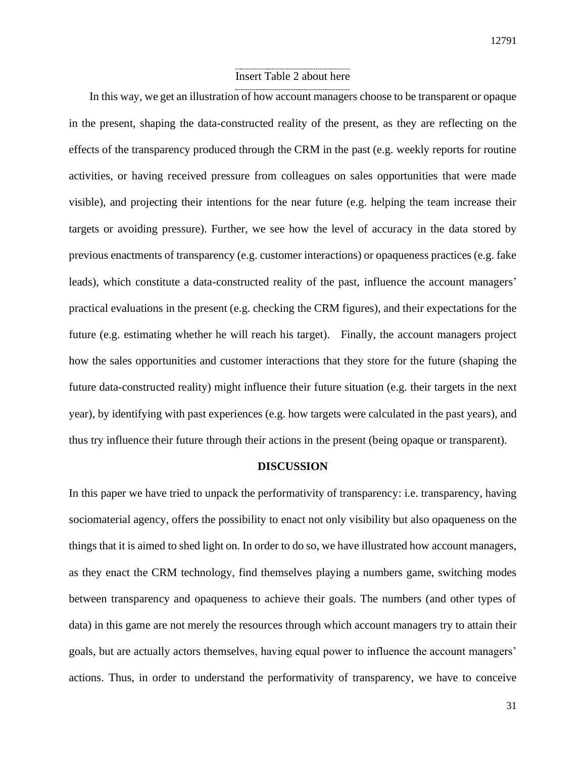## Insert Table 2 about here

In this way, we get an illustration of how account managers choose to be transparent or opaque in the present, shaping the data-constructed reality of the present, as they are reflecting on the effects of the transparency produced through the CRM in the past (e.g. weekly reports for routine activities, or having received pressure from colleagues on sales opportunities that were made visible), and projecting their intentions for the near future (e.g. helping the team increase their targets or avoiding pressure). Further, we see how the level of accuracy in the data stored by previous enactments of transparency (e.g. customer interactions) or opaqueness practices (e.g. fake leads), which constitute a data-constructed reality of the past, influence the account managers' practical evaluations in the present (e.g. checking the CRM figures), and their expectations for the future (e.g. estimating whether he will reach his target). Finally, the account managers project how the sales opportunities and customer interactions that they store for the future (shaping the future data-constructed reality) might influence their future situation (e.g. their targets in the next year), by identifying with past experiences (e.g. how targets were calculated in the past years), and thus try influence their future through their actions in the present (being opaque or transparent).

## **DISCUSSION**

In this paper we have tried to unpack the performativity of transparency: i.e. transparency, having sociomaterial agency, offers the possibility to enact not only visibility but also opaqueness on the things that it is aimed to shed light on. In order to do so, we have illustrated how account managers, as they enact the CRM technology, find themselves playing a numbers game, switching modes between transparency and opaqueness to achieve their goals. The numbers (and other types of data) in this game are not merely the resources through which account managers try to attain their goals, but are actually actors themselves, having equal power to influence the account managers' actions. Thus, in order to understand the performativity of transparency, we have to conceive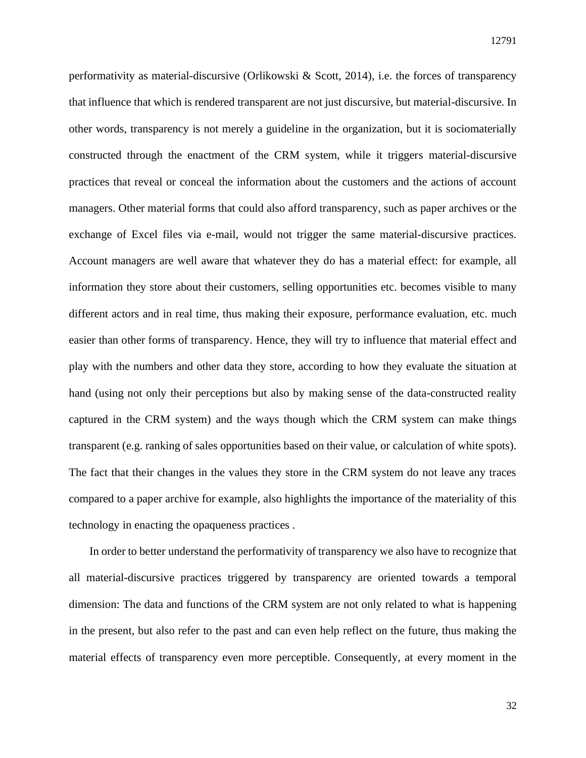performativity as material-discursive (Orlikowski & Scott, 2014), i.e. the forces of transparency that influence that which is rendered transparent are not just discursive, but material-discursive. In other words, transparency is not merely a guideline in the organization, but it is sociomaterially constructed through the enactment of the CRM system, while it triggers material-discursive practices that reveal or conceal the information about the customers and the actions of account managers. Other material forms that could also afford transparency, such as paper archives or the exchange of Excel files via e-mail, would not trigger the same material-discursive practices. Account managers are well aware that whatever they do has a material effect: for example, all information they store about their customers, selling opportunities etc. becomes visible to many different actors and in real time, thus making their exposure, performance evaluation, etc. much easier than other forms of transparency. Hence, they will try to influence that material effect and play with the numbers and other data they store, according to how they evaluate the situation at hand (using not only their perceptions but also by making sense of the data-constructed reality captured in the CRM system) and the ways though which the CRM system can make things transparent (e.g. ranking of sales opportunities based on their value, or calculation of white spots). The fact that their changes in the values they store in the CRM system do not leave any traces compared to a paper archive for example, also highlights the importance of the materiality of this technology in enacting the opaqueness practices .

In order to better understand the performativity of transparency we also have to recognize that all material-discursive practices triggered by transparency are oriented towards a temporal dimension: The data and functions of the CRM system are not only related to what is happening in the present, but also refer to the past and can even help reflect on the future, thus making the material effects of transparency even more perceptible. Consequently, at every moment in the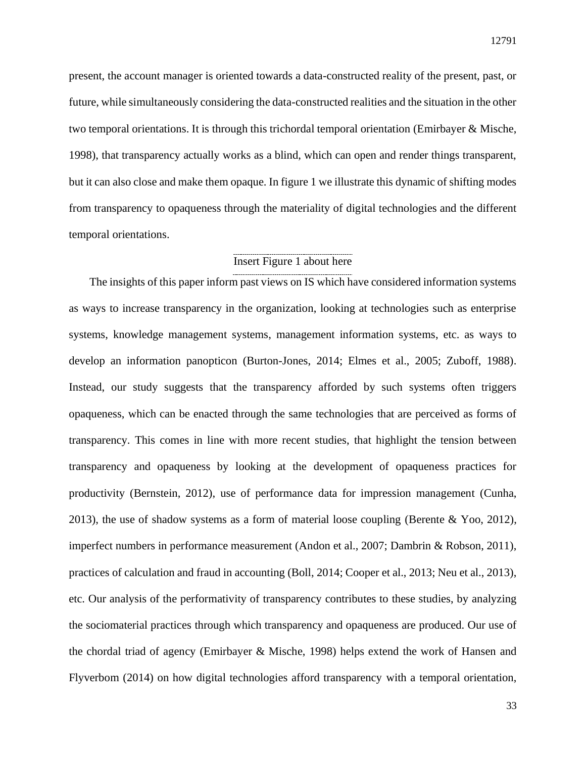present, the account manager is oriented towards a data-constructed reality of the present, past, or future, while simultaneously considering the data-constructed realities and the situation in the other two temporal orientations. It is through this trichordal temporal orientation (Emirbayer & Mische, 1998), that transparency actually works as a blind, which can open and render things transparent, but it can also close and make them opaque. In figure 1 we illustrate this dynamic of shifting modes from transparency to opaqueness through the materiality of digital technologies and the different temporal orientations.

## Insert Figure 1 about here

The insights of this paper inform past views on IS which have considered information systems as ways to increase transparency in the organization, looking at technologies such as enterprise systems, knowledge management systems, management information systems, etc. as ways to develop an information panopticon (Burton-Jones, 2014; Elmes et al., 2005; Zuboff, 1988). Instead, our study suggests that the transparency afforded by such systems often triggers opaqueness, which can be enacted through the same technologies that are perceived as forms of transparency. This comes in line with more recent studies, that highlight the tension between transparency and opaqueness by looking at the development of opaqueness practices for productivity (Bernstein, 2012), use of performance data for impression management (Cunha, 2013), the use of shadow systems as a form of material loose coupling (Berente & Yoo, 2012), imperfect numbers in performance measurement (Andon et al., 2007; Dambrin & Robson, 2011), practices of calculation and fraud in accounting (Boll, 2014; Cooper et al., 2013; Neu et al., 2013), etc. Our analysis of the performativity of transparency contributes to these studies, by analyzing the sociomaterial practices through which transparency and opaqueness are produced. Our use of the chordal triad of agency (Emirbayer & Mische, 1998) helps extend the work of Hansen and Flyverbom (2014) on how digital technologies afford transparency with a temporal orientation,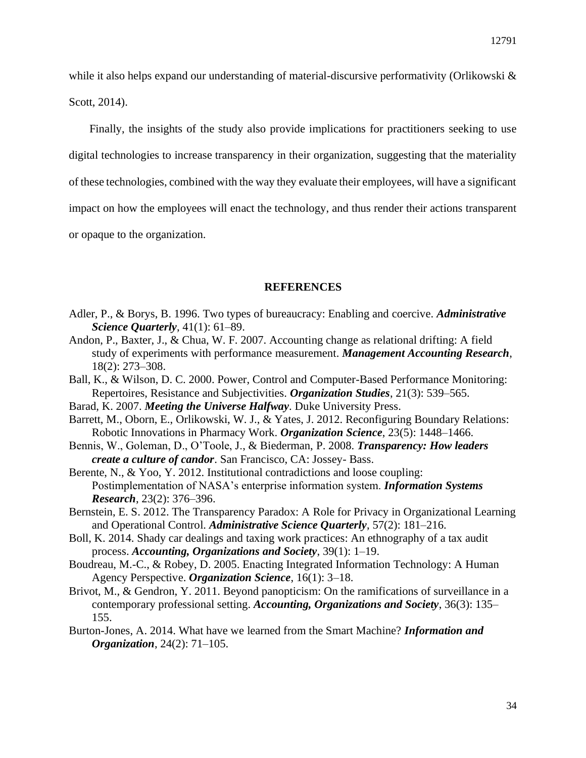while it also helps expand our understanding of material-discursive performativity (Orlikowski & Scott, 2014).

Finally, the insights of the study also provide implications for practitioners seeking to use digital technologies to increase transparency in their organization, suggesting that the materiality of these technologies, combined with the way they evaluate their employees, will have a significant impact on how the employees will enact the technology, and thus render their actions transparent or opaque to the organization.

## **REFERENCES**

- Adler, P., & Borys, B. 1996. Two types of bureaucracy: Enabling and coercive. *Administrative Science Quarterly*, 41(1): 61–89.
- Andon, P., Baxter, J., & Chua, W. F. 2007. Accounting change as relational drifting: A field study of experiments with performance measurement. *Management Accounting Research*, 18(2): 273–308.
- Ball, K., & Wilson, D. C. 2000. Power, Control and Computer-Based Performance Monitoring: Repertoires, Resistance and Subjectivities. *Organization Studies*, 21(3): 539–565.
- Barad, K. 2007. *Meeting the Universe Halfway*. Duke University Press.
- Barrett, M., Oborn, E., Orlikowski, W. J., & Yates, J. 2012. Reconfiguring Boundary Relations: Robotic Innovations in Pharmacy Work. *Organization Science*, 23(5): 1448–1466.
- Bennis, W., Goleman, D., O'Toole, J., & Biederman, P. 2008. *Transparency: How leaders create a culture of candor*. San Francisco, CA: Jossey- Bass.
- Berente, N., & Yoo, Y. 2012. Institutional contradictions and loose coupling: Postimplementation of NASA's enterprise information system. *Information Systems Research*, 23(2): 376–396.
- Bernstein, E. S. 2012. The Transparency Paradox: A Role for Privacy in Organizational Learning and Operational Control. *Administrative Science Quarterly*, 57(2): 181–216.
- Boll, K. 2014. Shady car dealings and taxing work practices: An ethnography of a tax audit process. *Accounting, Organizations and Society*, 39(1): 1–19.
- Boudreau, M.-C., & Robey, D. 2005. Enacting Integrated Information Technology: A Human Agency Perspective. *Organization Science*, 16(1): 3–18.
- Brivot, M., & Gendron, Y. 2011. Beyond panopticism: On the ramifications of surveillance in a contemporary professional setting. *Accounting, Organizations and Society*, 36(3): 135– 155.
- Burton-Jones, A. 2014. What have we learned from the Smart Machine? *Information and Organization*, 24(2): 71–105.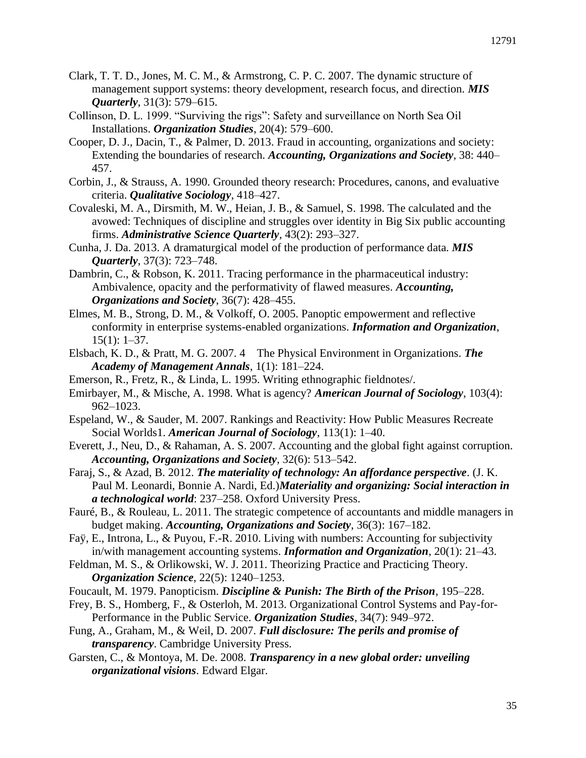- Clark, T. T. D., Jones, M. C. M., & Armstrong, C. P. C. 2007. The dynamic structure of management support systems: theory development, research focus, and direction. *MIS Quarterly*, 31(3): 579–615.
- Collinson, D. L. 1999. "Surviving the rigs": Safety and surveillance on North Sea Oil Installations. *Organization Studies*, 20(4): 579–600.
- Cooper, D. J., Dacin, T., & Palmer, D. 2013. Fraud in accounting, organizations and society: Extending the boundaries of research. *Accounting, Organizations and Society*, 38: 440– 457.
- Corbin, J., & Strauss, A. 1990. Grounded theory research: Procedures, canons, and evaluative criteria. *Qualitative Sociology*, 418–427.
- Covaleski, M. A., Dirsmith, M. W., Heian, J. B., & Samuel, S. 1998. The calculated and the avowed: Techniques of discipline and struggles over identity in Big Six public accounting firms. *Administrative Science Quarterly*, 43(2): 293–327.
- Cunha, J. Da. 2013. A dramaturgical model of the production of performance data. *MIS Quarterly*, 37(3): 723–748.
- Dambrin, C., & Robson, K. 2011. Tracing performance in the pharmaceutical industry: Ambivalence, opacity and the performativity of flawed measures. *Accounting, Organizations and Society*, 36(7): 428–455.
- Elmes, M. B., Strong, D. M., & Volkoff, O. 2005. Panoptic empowerment and reflective conformity in enterprise systems-enabled organizations. *Information and Organization*, 15(1): 1–37.
- Elsbach, K. D., & Pratt, M. G. 2007. 4 The Physical Environment in Organizations. *The Academy of Management Annals*, 1(1): 181–224.
- Emerson, R., Fretz, R., & Linda, L. 1995. Writing ethnographic fieldnotes/.
- Emirbayer, M., & Mische, A. 1998. What is agency? *American Journal of Sociology*, 103(4): 962–1023.
- Espeland, W., & Sauder, M. 2007. Rankings and Reactivity: How Public Measures Recreate Social Worlds1. *American Journal of Sociology*, 113(1): 1–40.
- Everett, J., Neu, D., & Rahaman, A. S. 2007. Accounting and the global fight against corruption. *Accounting, Organizations and Society*, 32(6): 513–542.
- Faraj, S., & Azad, B. 2012. *The materiality of technology: An affordance perspective*. (J. K. Paul M. Leonardi, Bonnie A. Nardi, Ed.)*Materiality and organizing: Social interaction in a technological world*: 237–258. Oxford University Press.
- Fauré, B., & Rouleau, L. 2011. The strategic competence of accountants and middle managers in budget making. *Accounting, Organizations and Society*, 36(3): 167–182.
- Faÿ, E., Introna, L., & Puyou, F.-R. 2010. Living with numbers: Accounting for subjectivity in/with management accounting systems. *Information and Organization*, 20(1): 21–43.
- Feldman, M. S., & Orlikowski, W. J. 2011. Theorizing Practice and Practicing Theory. *Organization Science*, 22(5): 1240–1253.
- Foucault, M. 1979. Panopticism. *Discipline & Punish: The Birth of the Prison*, 195–228.
- Frey, B. S., Homberg, F., & Osterloh, M. 2013. Organizational Control Systems and Pay-for-Performance in the Public Service. *Organization Studies*, 34(7): 949–972.
- Fung, A., Graham, M., & Weil, D. 2007. *Full disclosure: The perils and promise of transparency*. Cambridge University Press.
- Garsten, C., & Montoya, M. De. 2008. *Transparency in a new global order: unveiling organizational visions*. Edward Elgar.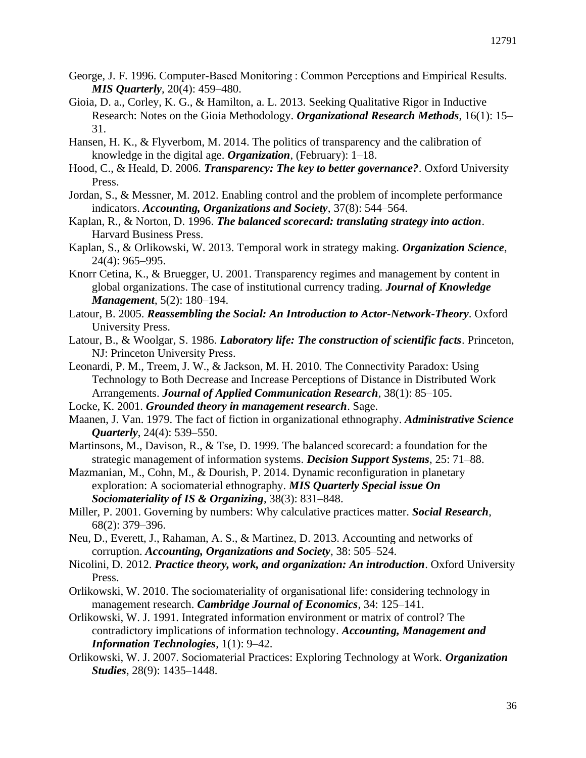- George, J. F. 1996. Computer-Based Monitoring : Common Perceptions and Empirical Results. *MIS Quarterly*, 20(4): 459–480.
- Gioia, D. a., Corley, K. G., & Hamilton, a. L. 2013. Seeking Qualitative Rigor in Inductive Research: Notes on the Gioia Methodology. *Organizational Research Methods*, 16(1): 15– 31.
- Hansen, H. K., & Flyverbom, M. 2014. The politics of transparency and the calibration of knowledge in the digital age. *Organization*, (February): 1–18.
- Hood, C., & Heald, D. 2006. *Transparency: The key to better governance?*. Oxford University Press.
- Jordan, S., & Messner, M. 2012. Enabling control and the problem of incomplete performance indicators. *Accounting, Organizations and Society*, 37(8): 544–564.
- Kaplan, R., & Norton, D. 1996. *The balanced scorecard: translating strategy into action*. Harvard Business Press.
- Kaplan, S., & Orlikowski, W. 2013. Temporal work in strategy making. *Organization Science*, 24(4): 965–995.
- Knorr Cetina, K., & Bruegger, U. 2001. Transparency regimes and management by content in global organizations. The case of institutional currency trading. *Journal of Knowledge Management*, 5(2): 180–194.
- Latour, B. 2005. *Reassembling the Social: An Introduction to Actor-Network-Theory*. Oxford University Press.
- Latour, B., & Woolgar, S. 1986. *Laboratory life: The construction of scientific facts*. Princeton, NJ: Princeton University Press.
- Leonardi, P. M., Treem, J. W., & Jackson, M. H. 2010. The Connectivity Paradox: Using Technology to Both Decrease and Increase Perceptions of Distance in Distributed Work Arrangements. *Journal of Applied Communication Research*, 38(1): 85–105.
- Locke, K. 2001. *Grounded theory in management research*. Sage.
- Maanen, J. Van. 1979. The fact of fiction in organizational ethnography. *Administrative Science Quarterly*, 24(4): 539–550.
- Martinsons, M., Davison, R., & Tse, D. 1999. The balanced scorecard: a foundation for the strategic management of information systems. *Decision Support Systems*, 25: 71–88.
- Mazmanian, M., Cohn, M., & Dourish, P. 2014. Dynamic reconfiguration in planetary exploration: A sociomaterial ethnography. *MIS Quarterly Special issue On Sociomateriality of IS & Organizing*, 38(3): 831–848.
- Miller, P. 2001. Governing by numbers: Why calculative practices matter. *Social Research*, 68(2): 379–396.
- Neu, D., Everett, J., Rahaman, A. S., & Martinez, D. 2013. Accounting and networks of corruption. *Accounting, Organizations and Society*, 38: 505–524.
- Nicolini, D. 2012. *Practice theory, work, and organization: An introduction*. Oxford University Press.
- Orlikowski, W. 2010. The sociomateriality of organisational life: considering technology in management research. *Cambridge Journal of Economics*, 34: 125–141.
- Orlikowski, W. J. 1991. Integrated information environment or matrix of control? The contradictory implications of information technology. *Accounting, Management and Information Technologies*, 1(1): 9–42.
- Orlikowski, W. J. 2007. Sociomaterial Practices: Exploring Technology at Work. *Organization Studies*, 28(9): 1435–1448.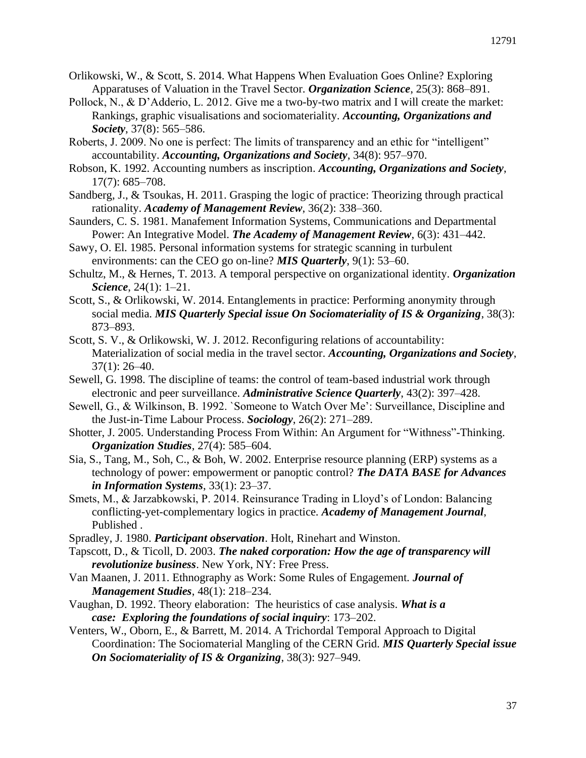- Orlikowski, W., & Scott, S. 2014. What Happens When Evaluation Goes Online? Exploring Apparatuses of Valuation in the Travel Sector. *Organization Science*, 25(3): 868–891.
- Pollock, N., & D'Adderio, L. 2012. Give me a two-by-two matrix and I will create the market: Rankings, graphic visualisations and sociomateriality. *Accounting, Organizations and Society*, 37(8): 565–586.
- Roberts, J. 2009. No one is perfect: The limits of transparency and an ethic for "intelligent" accountability. *Accounting, Organizations and Society*, 34(8): 957–970.
- Robson, K. 1992. Accounting numbers as inscription. *Accounting, Organizations and Society*, 17(7): 685–708.
- Sandberg, J., & Tsoukas, H. 2011. Grasping the logic of practice: Theorizing through practical rationality. *Academy of Management Review*, 36(2): 338–360.
- Saunders, C. S. 1981. Manafement Information Systems, Communications and Departmental Power: An Integrative Model. *The Academy of Management Review*, 6(3): 431–442.
- Sawy, O. El. 1985. Personal information systems for strategic scanning in turbulent environments: can the CEO go on-line? *MIS Quarterly*, 9(1): 53–60.
- Schultz, M., & Hernes, T. 2013. A temporal perspective on organizational identity. *Organization Science*, 24(1): 1–21.
- Scott, S., & Orlikowski, W. 2014. Entanglements in practice: Performing anonymity through social media. *MIS Quarterly Special issue On Sociomateriality of IS & Organizing*, 38(3): 873–893.
- Scott, S. V., & Orlikowski, W. J. 2012. Reconfiguring relations of accountability: Materialization of social media in the travel sector. *Accounting, Organizations and Society*, 37(1): 26–40.
- Sewell, G. 1998. The discipline of teams: the control of team-based industrial work through electronic and peer surveillance. *Administrative Science Quarterly*, 43(2): 397–428.
- Sewell, G., & Wilkinson, B. 1992. `Someone to Watch Over Me': Surveillance, Discipline and the Just-in-Time Labour Process. *Sociology*, 26(2): 271–289.
- Shotter, J. 2005. Understanding Process From Within: An Argument for "Withness"-Thinking. *Organization Studies*, 27(4): 585–604.
- Sia, S., Tang, M., Soh, C., & Boh, W. 2002. Enterprise resource planning (ERP) systems as a technology of power: empowerment or panoptic control? *The DATA BASE for Advances in Information Systems*, 33(1): 23–37.
- Smets, M., & Jarzabkowski, P. 2014. Reinsurance Trading in Lloyd's of London: Balancing conflicting-yet-complementary logics in practice. *Academy of Management Journal*, Published .
- Spradley, J. 1980. *Participant observation*. Holt, Rinehart and Winston.
- Tapscott, D., & Ticoll, D. 2003. *The naked corporation: How the age of transparency will revolutionize business*. New York, NY: Free Press.
- Van Maanen, J. 2011. Ethnography as Work: Some Rules of Engagement. *Journal of Management Studies*, 48(1): 218–234.
- Vaughan, D. 1992. Theory elaboration: The heuristics of case analysis. *What is a case: Exploring the foundations of social inquiry*: 173–202.
- Venters, W., Oborn, E., & Barrett, M. 2014. A Trichordal Temporal Approach to Digital Coordination: The Sociomaterial Mangling of the CERN Grid. *MIS Quarterly Special issue On Sociomateriality of IS & Organizing*, 38(3): 927–949.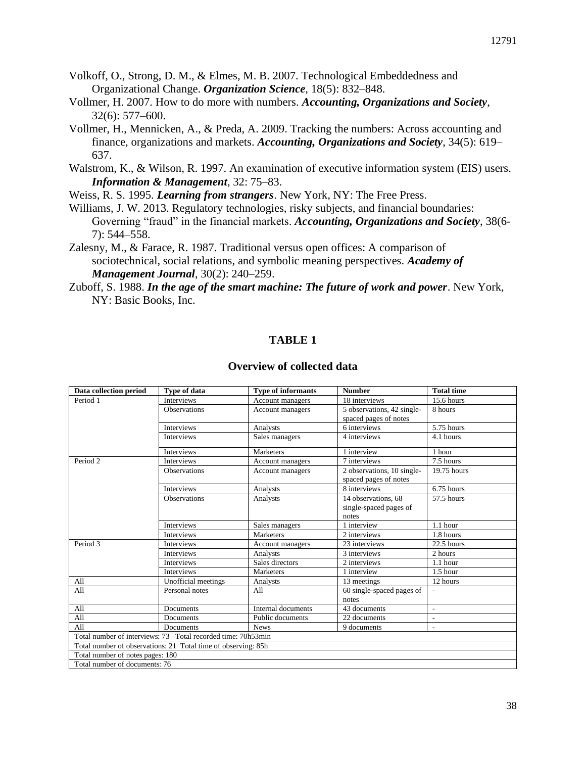- Volkoff, O., Strong, D. M., & Elmes, M. B. 2007. Technological Embeddedness and Organizational Change. *Organization Science*, 18(5): 832–848.
- Vollmer, H. 2007. How to do more with numbers. *Accounting, Organizations and Society*, 32(6): 577–600.
- Vollmer, H., Mennicken, A., & Preda, A. 2009. Tracking the numbers: Across accounting and finance, organizations and markets. *Accounting, Organizations and Society*, 34(5): 619– 637.
- Walstrom, K., & Wilson, R. 1997. An examination of executive information system (EIS) users. *Information & Management*, 32: 75–83.

Weiss, R. S. 1995. *Learning from strangers*. New York, NY: The Free Press.

- Williams, J. W. 2013. Regulatory technologies, risky subjects, and financial boundaries: Governing "fraud" in the financial markets. *Accounting, Organizations and Society*, 38(6- 7): 544–558.
- Zalesny, M., & Farace, R. 1987. Traditional versus open offices: A comparison of sociotechnical, social relations, and symbolic meaning perspectives. *Academy of Management Journal*, 30(2): 240–259.

## **TABLE 1**

#### **Overview of collected data**

| Data collection period                                        | Type of data        | <b>Type of informants</b> | <b>Number</b>              | <b>Total time</b>        |  |  |  |
|---------------------------------------------------------------|---------------------|---------------------------|----------------------------|--------------------------|--|--|--|
| Period 1                                                      | <b>Interviews</b>   | Account managers          | 18 interviews              | 15.6 hours               |  |  |  |
|                                                               | <b>Observations</b> | Account managers          | 5 observations, 42 single- | 8 hours                  |  |  |  |
|                                                               |                     |                           | spaced pages of notes      |                          |  |  |  |
|                                                               | <b>Interviews</b>   | Analysts                  | 6 interviews               | 5.75 hours               |  |  |  |
|                                                               | <b>Interviews</b>   | Sales managers            | 4 interviews               | 4.1 hours                |  |  |  |
|                                                               | <b>Interviews</b>   | Marketers                 | 1 interview                | 1 hour                   |  |  |  |
| Period <sub>2</sub>                                           | <b>Interviews</b>   | Account managers          | 7 interviews               | 7.5 hours                |  |  |  |
|                                                               | <b>Observations</b> | Account managers          | 2 observations, 10 single- | 19.75 hours              |  |  |  |
|                                                               |                     |                           | spaced pages of notes      |                          |  |  |  |
|                                                               | <b>Interviews</b>   | Analysts                  | 8 interviews               | $6.75$ hours             |  |  |  |
|                                                               | <b>Observations</b> | Analysts                  | 14 observations, 68        | 57.5 hours               |  |  |  |
|                                                               |                     |                           | single-spaced pages of     |                          |  |  |  |
|                                                               |                     |                           | notes                      |                          |  |  |  |
|                                                               | <b>Interviews</b>   | Sales managers            | 1 interview                | $1.1$ hour               |  |  |  |
|                                                               | <b>Interviews</b>   | Marketers                 | 2 interviews               | 1.8 hours                |  |  |  |
| Period 3                                                      | Interviews          | Account managers          | 23 interviews              | $22.5$ hours             |  |  |  |
|                                                               | Interviews          | Analysts                  | 3 interviews               | 2 hours                  |  |  |  |
|                                                               | <b>Interviews</b>   | Sales directors           | 2 interviews               | $1.1$ hour               |  |  |  |
|                                                               | Interviews          | Marketers                 | 1 interview                | $1.5$ hour               |  |  |  |
| All                                                           | Unofficial meetings | Analysts                  | 13 meetings                | 12 hours                 |  |  |  |
| All                                                           | Personal notes      | All                       | 60 single-spaced pages of  |                          |  |  |  |
|                                                               |                     |                           | notes                      |                          |  |  |  |
| All                                                           | Documents           | Internal documents        | 43 documents               | $\overline{\phantom{a}}$ |  |  |  |
| All                                                           | Documents           | Public documents          | 22 documents               | $\overline{a}$           |  |  |  |
| All                                                           | Documents           | <b>News</b>               | 9 documents                | $\overline{\phantom{a}}$ |  |  |  |
| Total number of interviews: 73 Total recorded time: 70h53min  |                     |                           |                            |                          |  |  |  |
| Total number of observations: 21 Total time of observing: 85h |                     |                           |                            |                          |  |  |  |
| Total number of notes pages: 180                              |                     |                           |                            |                          |  |  |  |
| Total number of documents: 76                                 |                     |                           |                            |                          |  |  |  |

Zuboff, S. 1988. *In the age of the smart machine: The future of work and power*. New York, NY: Basic Books, Inc.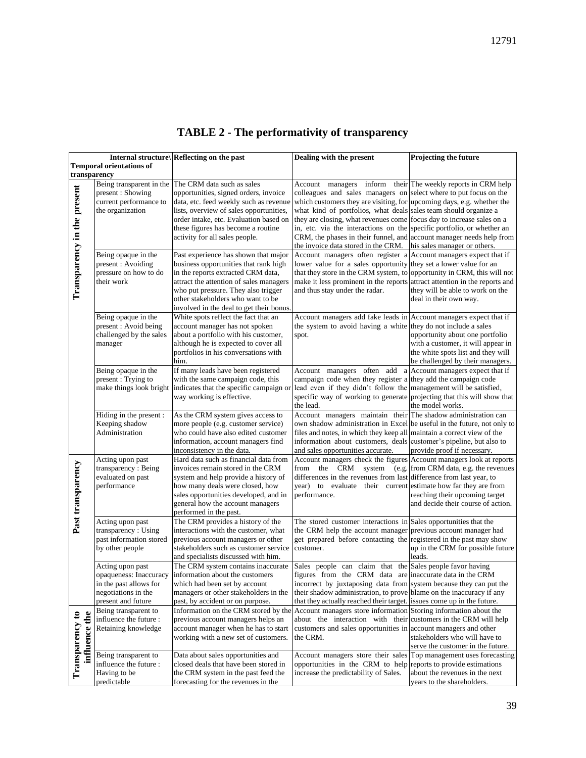| Internal structure\ Reflecting on the past |                                                                                  | Dealing with the present                                                                                                                                                                                                                   | <b>Projecting the future</b>                                                                                                                                                                                                                                 |                                                                                                                                       |
|--------------------------------------------|----------------------------------------------------------------------------------|--------------------------------------------------------------------------------------------------------------------------------------------------------------------------------------------------------------------------------------------|--------------------------------------------------------------------------------------------------------------------------------------------------------------------------------------------------------------------------------------------------------------|---------------------------------------------------------------------------------------------------------------------------------------|
| <b>Temporal orientations of</b>            |                                                                                  |                                                                                                                                                                                                                                            |                                                                                                                                                                                                                                                              |                                                                                                                                       |
| transparency                               |                                                                                  |                                                                                                                                                                                                                                            |                                                                                                                                                                                                                                                              |                                                                                                                                       |
|                                            | Being transparent in the                                                         | The CRM data such as sales<br>opportunities, signed orders, invoice                                                                                                                                                                        | Account managers inform<br>colleagues and sales managers on                                                                                                                                                                                                  | their The weekly reports in CRM help                                                                                                  |
|                                            | present: Showing<br>current performance to                                       | data, etc. feed weekly such as revenue                                                                                                                                                                                                     | which customers they are visiting, for upcoming days, e.g. whether the                                                                                                                                                                                       | select where to put focus on the                                                                                                      |
|                                            | the organization                                                                 | lists, overview of sales opportunities,                                                                                                                                                                                                    | what kind of portfolios, what deals sales team should organize a                                                                                                                                                                                             |                                                                                                                                       |
|                                            |                                                                                  | order intake, etc. Evaluation based on                                                                                                                                                                                                     | they are closing, what revenues come focus day to increase sales on a                                                                                                                                                                                        |                                                                                                                                       |
|                                            |                                                                                  | these figures has become a routine                                                                                                                                                                                                         | in, etc. via the interactions on the                                                                                                                                                                                                                         | specific portfolio, or whether an                                                                                                     |
|                                            |                                                                                  | activity for all sales people.                                                                                                                                                                                                             | CRM, the phases in their funnel, and account manager needs help from                                                                                                                                                                                         |                                                                                                                                       |
|                                            |                                                                                  |                                                                                                                                                                                                                                            | the invoice data stored in the CRM.                                                                                                                                                                                                                          | his sales manager or others.                                                                                                          |
| Transparency in the present                | Being opaque in the<br>present : Avoiding<br>pressure on how to do<br>their work | Past experience has shown that major<br>business opportunities that rank high<br>in the reports extracted CRM data,<br>attract the attention of sales managers<br>who put pressure. They also trigger<br>other stakeholders who want to be | Account managers often register a<br>lower value for a sales opportunity they set a lower value for an<br>that they store in the CRM system, to opportunity in CRM, this will not<br>make it less prominent in the reports<br>and thus stay under the radar. | Account managers expect that if<br>attract attention in the reports and<br>they will be able to work on the<br>deal in their own way. |
|                                            |                                                                                  | involved in the deal to get their bonus.                                                                                                                                                                                                   |                                                                                                                                                                                                                                                              |                                                                                                                                       |
|                                            | Being opaque in the                                                              | White spots reflect the fact that an                                                                                                                                                                                                       | Account managers add fake leads in Account managers expect that if                                                                                                                                                                                           |                                                                                                                                       |
|                                            | present : Avoid being                                                            | account manager has not spoken                                                                                                                                                                                                             | the system to avoid having a white                                                                                                                                                                                                                           | they do not include a sales                                                                                                           |
|                                            | challenged by the sales                                                          | about a portfolio with his customer,<br>although he is expected to cover all                                                                                                                                                               | spot.                                                                                                                                                                                                                                                        | opportunity about one portfolio<br>with a customer, it will appear in                                                                 |
| manager                                    |                                                                                  | portfolios in his conversations with                                                                                                                                                                                                       |                                                                                                                                                                                                                                                              | the white spots list and they will                                                                                                    |
|                                            |                                                                                  | him.                                                                                                                                                                                                                                       |                                                                                                                                                                                                                                                              | be challenged by their managers.                                                                                                      |
|                                            | Being opaque in the                                                              | If many leads have been registered                                                                                                                                                                                                         | Account managers often add<br>ź                                                                                                                                                                                                                              | Account managers expect that if                                                                                                       |
|                                            | present: Trying to                                                               | with the same campaign code, this                                                                                                                                                                                                          | campaign code when they register a they add the campaign code                                                                                                                                                                                                |                                                                                                                                       |
|                                            | make things look bright                                                          | indicates that the specific campaign or                                                                                                                                                                                                    | lead even if they didn't follow the                                                                                                                                                                                                                          | management will be satisfied,                                                                                                         |
|                                            |                                                                                  | way working is effective.                                                                                                                                                                                                                  | specific way of working to generate projecting that this will show that<br>the lead.                                                                                                                                                                         | the model works.                                                                                                                      |
|                                            | Hiding in the present :                                                          | As the CRM system gives access to                                                                                                                                                                                                          | Account managers maintain their The shadow administration can                                                                                                                                                                                                |                                                                                                                                       |
|                                            | Keeping shadow                                                                   | more people (e.g. customer service)                                                                                                                                                                                                        | own shadow administration in Excel be useful in the future, not only to                                                                                                                                                                                      |                                                                                                                                       |
|                                            | Administration                                                                   | who could have also edited customer                                                                                                                                                                                                        | files and notes, in which they keep all                                                                                                                                                                                                                      | maintain a correct view of the                                                                                                        |
|                                            |                                                                                  | information, account managers find                                                                                                                                                                                                         | information about customers, deals                                                                                                                                                                                                                           | customer's pipeline, but also to                                                                                                      |
|                                            |                                                                                  | inconsistency in the data.                                                                                                                                                                                                                 | and sales opportunities accurate.                                                                                                                                                                                                                            | provide proof if necessary.                                                                                                           |
|                                            | Acting upon past<br>transparency: Being                                          | Hard data such as financial data from<br>invoices remain stored in the CRM                                                                                                                                                                 | Account managers check the figures<br>from the CRM system<br>(e.g.                                                                                                                                                                                           | Account managers look at reports<br>from CRM data, e.g. the revenues                                                                  |
|                                            | evaluated on past                                                                | system and help provide a history of                                                                                                                                                                                                       | differences in the revenues from last difference from last year, to                                                                                                                                                                                          |                                                                                                                                       |
|                                            | performance                                                                      | how many deals were closed, how                                                                                                                                                                                                            | year) to evaluate their current estimate how far they are from                                                                                                                                                                                               |                                                                                                                                       |
|                                            |                                                                                  | sales opportunities developed, and in                                                                                                                                                                                                      | performance.                                                                                                                                                                                                                                                 | reaching their upcoming target                                                                                                        |
|                                            |                                                                                  | general how the account managers                                                                                                                                                                                                           |                                                                                                                                                                                                                                                              | and decide their course of action.                                                                                                    |
|                                            |                                                                                  | performed in the past.                                                                                                                                                                                                                     |                                                                                                                                                                                                                                                              |                                                                                                                                       |
| Past transparency                          | Acting upon past<br>transparency: Using                                          | The CRM provides a history of the<br>interactions with the customer, what                                                                                                                                                                  | The stored customer interactions in Sales opportunities that the<br>the CRM help the account manager                                                                                                                                                         | previous account manager had                                                                                                          |
|                                            | past information stored                                                          | previous account managers or other                                                                                                                                                                                                         | get prepared before contacting the registered in the past may show                                                                                                                                                                                           |                                                                                                                                       |
|                                            | by other people                                                                  | stakeholders such as customer service                                                                                                                                                                                                      | customer.                                                                                                                                                                                                                                                    | up in the CRM for possible future                                                                                                     |
|                                            |                                                                                  | and specialists discussed with him.                                                                                                                                                                                                        |                                                                                                                                                                                                                                                              | leads.                                                                                                                                |
|                                            | Acting upon past                                                                 | The CRM system contains inaccurate                                                                                                                                                                                                         | Sales people can claim that the Sales people favor having                                                                                                                                                                                                    |                                                                                                                                       |
|                                            | opaqueness: Inaccuracy                                                           | information about the customers                                                                                                                                                                                                            | figures from the CRM data are inaccurate data in the CRM                                                                                                                                                                                                     |                                                                                                                                       |
|                                            | in the past allows for<br>negotiations in the                                    | which had been set by account                                                                                                                                                                                                              | incorrect by juxtaposing data from system because they can put the<br>their shadow administration, to prove blame on the inaccuracy if any                                                                                                                   |                                                                                                                                       |
|                                            | present and future                                                               | managers or other stakeholders in the<br>past, by accident or on purpose.                                                                                                                                                                  | that they actually reached their target. issues come up in the future.                                                                                                                                                                                       |                                                                                                                                       |
|                                            | Being transparent to                                                             | Information on the CRM stored by the Account managers store information Storing information about the                                                                                                                                      |                                                                                                                                                                                                                                                              |                                                                                                                                       |
|                                            | influence the future:                                                            | previous account managers helps an                                                                                                                                                                                                         | about the interaction with their customers in the CRM will help                                                                                                                                                                                              |                                                                                                                                       |
|                                            | Retaining knowledge                                                              | account manager when he has to start                                                                                                                                                                                                       | customers and sales opportunities in account managers and other                                                                                                                                                                                              |                                                                                                                                       |
| influence the<br>Transparency to           |                                                                                  | working with a new set of customers.                                                                                                                                                                                                       | the CRM.                                                                                                                                                                                                                                                     | stakeholders who will have to                                                                                                         |
|                                            |                                                                                  |                                                                                                                                                                                                                                            |                                                                                                                                                                                                                                                              | serve the customer in the future.                                                                                                     |
|                                            | Being transparent to<br>influence the future:                                    | Data about sales opportunities and<br>closed deals that have been stored in                                                                                                                                                                | Account managers store their sales<br>opportunities in the CRM to help reports to provide estimations                                                                                                                                                        | Top management uses forecasting                                                                                                       |
|                                            | Having to be                                                                     | the CRM system in the past feed the                                                                                                                                                                                                        | increase the predictability of Sales.                                                                                                                                                                                                                        | about the revenues in the next                                                                                                        |
|                                            | predictable                                                                      | forecasting for the revenues in the                                                                                                                                                                                                        |                                                                                                                                                                                                                                                              | years to the shareholders.                                                                                                            |

# **TABLE 2 - The performativity of transparency**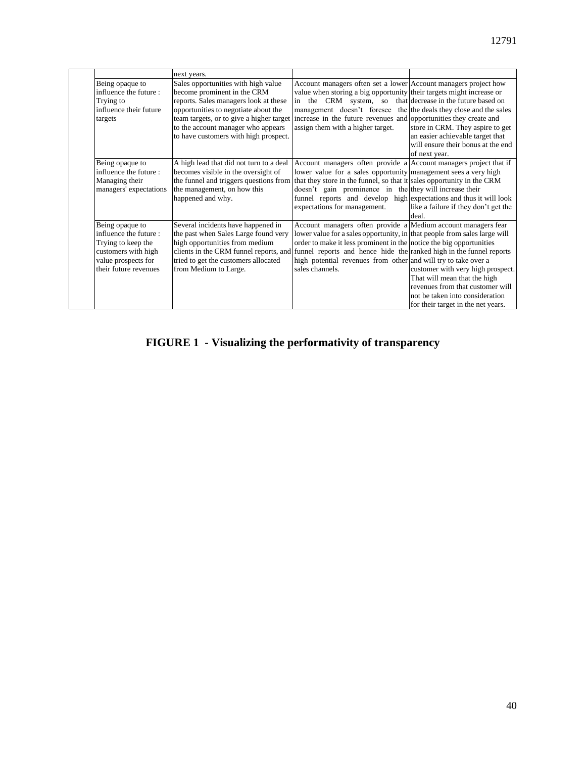|                                                                                                                                       | next years.                                                                                                                                                                                                                                                                                 |                                                                                                                                                                                                                                                                                                                                                                                      |                                                                                                                                                                                |
|---------------------------------------------------------------------------------------------------------------------------------------|---------------------------------------------------------------------------------------------------------------------------------------------------------------------------------------------------------------------------------------------------------------------------------------------|--------------------------------------------------------------------------------------------------------------------------------------------------------------------------------------------------------------------------------------------------------------------------------------------------------------------------------------------------------------------------------------|--------------------------------------------------------------------------------------------------------------------------------------------------------------------------------|
| Being opaque to<br>influence the future:<br>Trying to<br>influence their future<br>targets                                            | Sales opportunities with high value<br>become prominent in the CRM<br>reports. Sales managers look at these<br>opportunities to negotiate about the<br>team targets, or to give a higher target<br>to the account manager who appears<br>to have customers with high prospect.              | Account managers often set a lower Account managers project how<br>value when storing a big opportunity their targets might increase or<br>in the CRM system, so that decrease in the future based on<br>management doesn't foresee the the deals they close and the sales<br>increase in the future revenues and opportunities they create and<br>assign them with a higher target. | store in CRM. They aspire to get<br>an easier achievable target that<br>will ensure their bonus at the end<br>of next year.                                                    |
| Being opaque to<br>influence the future:<br>Managing their<br>managers' expectations                                                  | A high lead that did not turn to a deal<br>becomes visible in the oversight of<br>the funnel and triggers questions from<br>the management, on how this<br>happened and why.                                                                                                                | Account managers often provide a Account managers project that if<br>lower value for a sales opportunity management sees a very high<br>that they store in the funnel, so that it sales opportunity in the CRM<br>doesn't gain prominence in the they will increase their<br>funnel reports and develop high expectations and thus it will look<br>expectations for management.      | like a failure if they don't get the<br>deal.                                                                                                                                  |
| Being opaque to<br>influence the future:<br>Trying to keep the<br>customers with high<br>value prospects for<br>their future revenues | Several incidents have happened in<br>the past when Sales Large found very<br>high opportunities from medium<br>clients in the CRM funnel reports, and funnel reports and hence hide the ranked high in the funnel reports<br>tried to get the customers allocated<br>from Medium to Large. | Account managers often provide a Medium account managers fear<br>lower value for a sales opportunity, in that people from sales large will<br>order to make it less prominent in the notice the big opportunities<br>high potential revenues from other and will try to take over a<br>sales channels.                                                                               | customer with very high prospect.<br>That will mean that the high<br>revenues from that customer will<br>not be taken into consideration<br>for their target in the net years. |

# **FIGURE 1 - Visualizing the performativity of transparency**